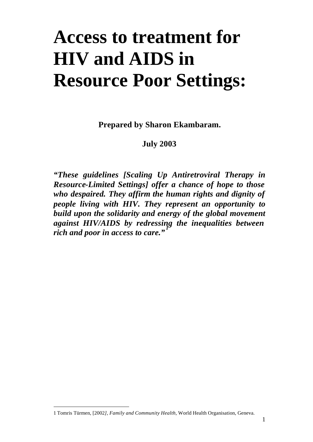# **Access to treatment for HIV and AIDS in Resource Poor Settings:**

**Prepared by Sharon Ekambaram.**

## **July 2003**

*"These guidelines [Scaling Up Antiretroviral Therapy in Resource-Limited Settings] offer a chance of hope to those who despaired. They affirm the human rights and dignity of people living with HIV. They represent an opportunity to build upon the solidarity and energy of the global movement against HIV/AIDS by redressing the inequalities between rich and poor in access to care."<sup>1</sup>*

<sup>1</sup> Tomris Türmen, [2002*], Family and Community Health*, World Health Organisation, Geneva.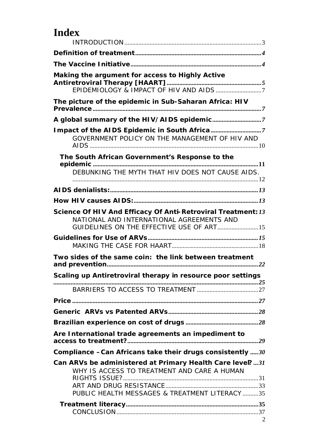## **Index**

| Making the argument for access to Highly Active                                                                                                        |  |
|--------------------------------------------------------------------------------------------------------------------------------------------------------|--|
|                                                                                                                                                        |  |
|                                                                                                                                                        |  |
| The picture of the epidemic in Sub-Saharan Africa: HIV                                                                                                 |  |
| A global summary of the HIV/AIDS epidemic7                                                                                                             |  |
| Impact of the AIDS Epidemic in South Africa7                                                                                                           |  |
| GOVERNMENT POLICY ON THE MANAGEMENT OF HIV AND                                                                                                         |  |
| The South African Government's Response to the                                                                                                         |  |
| DEBUNKING THE MYTH THAT HIV DOES NOT CAUSE AIDS.                                                                                                       |  |
|                                                                                                                                                        |  |
|                                                                                                                                                        |  |
| Science Of HIV And Efficacy Of Anti-Retroviral Treatment: 13<br>NATIONAL AND INTERNATIONAL AGREEMENTS AND<br>GUIDELINES ON THE EFFECTIVE USE OF ART 15 |  |
|                                                                                                                                                        |  |
|                                                                                                                                                        |  |
| Two sides of the same coin: the link between treatment                                                                                                 |  |
| Scaling up Antiretroviral therapy in resource poor settings                                                                                            |  |
|                                                                                                                                                        |  |
|                                                                                                                                                        |  |
|                                                                                                                                                        |  |
|                                                                                                                                                        |  |
|                                                                                                                                                        |  |
| Are International trade agreements an impediment to                                                                                                    |  |
| Compliance $-Can$ Africans take their drugs consistently  30                                                                                           |  |
| Can ARVs be administered at Primary Health Care level?31<br>WHY IS ACCESS TO TREATMENT AND CARE A HUMAN                                                |  |
|                                                                                                                                                        |  |
| PUBLIC HEALTH MESSAGES & TREATMENT LITERACY 35                                                                                                         |  |
|                                                                                                                                                        |  |
|                                                                                                                                                        |  |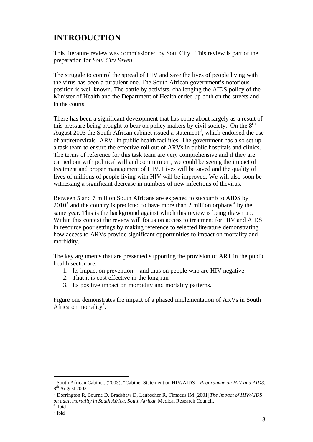## **INTRODUCTION**

This literature review was commissioned by Soul City. This review is part of the preparation for *Soul City Seven.*

The struggle to control the spread of HIV and save the lives of people living with the virus has been a turbulent one. The South African government's notorious position is well known. The battle by activists, challenging the AIDS policy of the Minister of Health and the Department of Health ended up both on the streets and in the courts.

There has been a significant development that has come about largely as a result of this pressure being brought to bear on policy makers by civil society. On the  $8<sup>th</sup>$ August 2003 the South African cabinet issued a statement<sup>2</sup>, which endorsed the use of antiretorvirals [ARV] in public health facilities. The government has also set up a task team to ensure the effective roll out of ARVs in public hospitals and clinics. The terms of reference for this task team are very comprehensive and if they are carried out with political will and commitment, we could be seeing the impact of treatment and proper management of HIV. Lives will be saved and the quality of lives of millions of people living with HIV will be improved. We will also soon be witnessing a significant decrease in numbers of new infections of thevirus.

Between 5 and 7 million South Africans are expected to succumb to AIDS by  $2010<sup>3</sup>$  and the country is predicted to have more than 2 million orphans<sup>4</sup> by the same year. This is the background against which this review is being drawn up. Within this context the review will focus on access to treatment for HIV and AIDS in resource poor settings by making reference to selected literature demonstrating how access to ARVs provide significant opportunities to impact on mortality and morbidity.

The key arguments that are presented supporting the provision of ART in the public health sector are:

- 1. Its impact on prevention and thus on people who are HIV negative
- 2. That it is cost effective in the long run
- 3. Its positive impact on morbidity and mortality patterns.

Figure one demonstrates the impact of a phased implementation of ARVs in South Africa on mortality<sup>5</sup>.

<sup>2</sup> South African Cabinet, (2003), "Cabinet Statement on HIV/AIDS – *Programme on HIV and AIDS,* 8<sup>th</sup> August 2003

<sup>3</sup> Dorrington R, Bourne D, Bradshaw D, Laubscher R, Timaeus IM.[2001]*The Impact of HIV/AIDS on adult mortality in South Africa, South African* Medical Research Council. 4

Ibid

<sup>5</sup> Ibid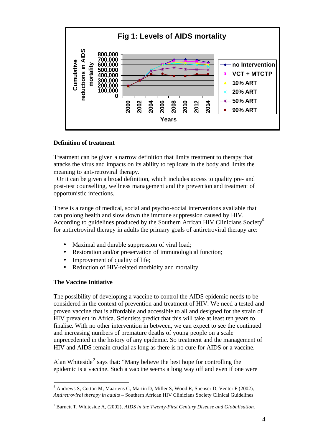

#### **Definition of treatment**

Treatment can be given a narrow definition that limits treatment to therapy that attacks the virus and impacts on its ability to replicate in the body and limits the meaning to anti-retroviral therapy.

 Or it can be given a broad definition, which includes access to quality pre- and post-test counselling, wellness management and the prevention and treatment of opportunistic infections.

There is a range of medical, social and psycho-social interventions available that can prolong health and slow down the immune suppression caused by HIV. According to guidelines produced by the Southern African HIV Clinicians Society<sup>6</sup> for antiretroviral therapy in adults the primary goals of antiretroviral therapy are:

- Maximal and durable suppression of viral load;
- Restoration and/or preservation of immunological function;
- Improvement of quality of life;
- Reduction of HIV-related morbidity and mortality.

#### **The Vaccine Initiative**

l

The possibility of developing a vaccine to control the AIDS epidemic needs to be considered in the context of prevention and treatment of HIV. We need a tested and proven vaccine that is affordable and accessible to all and designed for the strain of HIV prevalent in Africa. Scientists predict that this will take at least ten years to finalise. With no other intervention in between, we can expect to see the continued and increasing numbers of premature deaths of young people on a scale unprecedented in the history of any epidemic. So treatment and the management of HIV and AIDS remain crucial as long as there is no cure for AIDS or a vaccine.

Alan Whiteside<sup>7</sup> says that: "Many believe the best hope for controlling the epidemic is a vaccine. Such a vaccine seems a long way off and even if one were

<sup>6</sup> Andrews S, Cotton M, Maartens G, Martin D, Miller S, Wood R, Spenser D, Venter F (2002), *Antiretroviral therapy in adults –* Southern African HIV Clinicians Society Clinical Guidelines

<sup>7</sup> Barnett T, Whiteside A, (2002), *AIDS in the Twenty-First Century Disease and Globalisation.*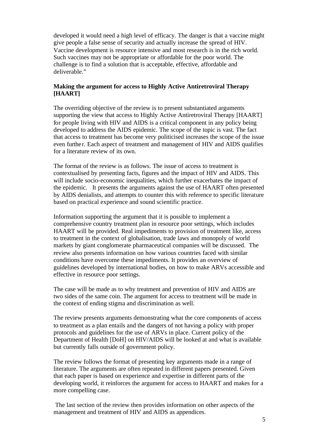developed it would need a high level of efficacy. The danger is that a vaccine might give people a false sense of security and actually increase the spread of HIV. Vaccine development is resource intensive and most research is in the rich world. Such vaccines may not be appropriate or affordable for the poor world. The challenge is to find a solution that is acceptable, effective, affordable and deliverable."

#### **Making the argument for access to Highly Active Antiretroviral Therapy [HAART]**

The overriding objective of the review is to present substantiated arguments supporting the view that access to Highly Active Antiretroviral Therapy [HAART] for people living with HIV and AIDS is a critical component in any policy being developed to address the AIDS epidemic. The scope of the topic is vast. The fact that access to treatment has become very politicised increases the scope of the issue even further. Each aspect of treatment and management of HIV and AIDS qualifies for a literature review of its own.

The format of the review is as follows. The issue of access to treatment is contextualised by presenting facts, figures and the impact of HIV and AIDS. This will include socio-economic inequalities, which further exacerbates the impact of the epidemic. It presents the arguments against the use of HAART often presented by AIDS denialists, and attempts to counter this with reference to specific literature based on practical experience and sound scientific practice.

Information supporting the argument that it is possible to implement a comprehensive country treatment plan in resource poor settings, which includes HAART will be provided. Real impediments to provision of treatment like, access to treatment in the context of globalisation, trade laws and monopoly of world markets by giant conglomerate pharmaceutical companies will be discussed. The review also presents information on how various countries faced with similar conditions have overcome these impediments. It provides an overview of guidelines developed by international bodies, on how to make ARVs accessible and effective in resource poor settings.

The case will be made as to why treatment and prevention of HIV and AIDS are two sides of the same coin. The argument for access to treatment will be made in the context of ending stigma and discrimination as well.

The review presents arguments demonstrating what the core components of access to treatment as a plan entails and the dangers of not having a policy with proper protocols and guidelines for the use of ARVs in place. Current policy of the Department of Health [DoH] on HIV/AIDS will be looked at and what is available but currently falls outside of government policy.

The review follows the format of presenting key arguments made in a range of literature. The arguments are often repeated in different papers presented. Given that each paper is based on experience and expertise in different parts of the developing world, it reinforces the argument for access to HAART and makes for a more compelling case.

 The last section of the review then provides information on other aspects of the management and treatment of HIV and AIDS as appendices.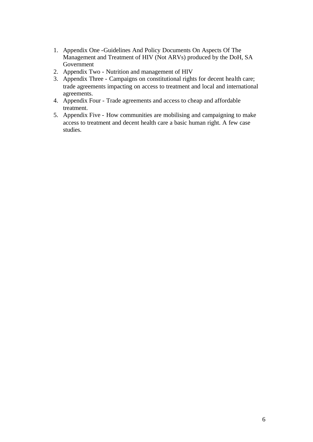- 1. Appendix One -Guidelines And Policy Documents On Aspects Of The Management and Treatment of HIV (Not ARVs) produced by the DoH, SA Government
- 2. Appendix Two Nutrition and management of HIV
- 3. Appendix Three Campaigns on constitutional rights for decent health care; trade agreements impacting on access to treatment and local and international agreements.
- 4. Appendix Four Trade agreements and access to cheap and affordable treatment.
- 5. Appendix Five How communities are mobilising and campaigning to make access to treatment and decent health care a basic human right. A few case studies.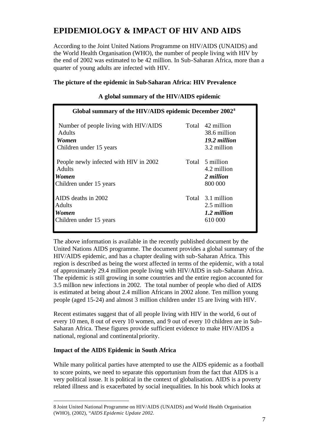## **EPIDEMIOLOGY & IMPACT OF HIV AND AIDS**

According to the Joint United Nations Programme on HIV/AIDS (UNAIDS) and the World Health Organisation (WHO), the number of people living with HIV by the end of 2002 was estimated to be 42 million. In Sub-Saharan Africa, more than a quarter of young adults are infected with HIV.

#### **The picture of the epidemic in Sub-Saharan Africa: HIV Prevalence**

| Global summary of the HIV/AIDS epidemic December 2002 <sup>8</sup>                                 |  |                                                                 |  |
|----------------------------------------------------------------------------------------------------|--|-----------------------------------------------------------------|--|
| Number of people living with HIV/AIDS<br><b>Adults</b><br>Women<br>Children under 15 years         |  | Total 42 million<br>38.6 million<br>19.2 million<br>3.2 million |  |
| People newly infected with HIV in 2002<br><b>Adults</b><br><b>Women</b><br>Children under 15 years |  | Total 5 million<br>4.2 million<br>2 million<br>800 000          |  |
| AIDS deaths in 2002<br><b>Adults</b><br>Women<br>Children under 15 years                           |  | Total 3.1 million<br>2.5 million<br>1.2 million<br>610 000      |  |

#### **A global summary of the HIV/AIDS epidemic**

The above information is available in the recently published document by the United Nations AIDS programme. The document provides a global summary of the HIV/AIDS epidemic, and has a chapter dealing with sub-Saharan Africa. This region is described as being the worst affected in terms of the epidemic, with a total of approximately 29.4 million people living with HIV/AIDS in sub-Saharan Africa. The epidemic is still growing in some countries and the entire region accounted for 3.5 million new infections in 2002. The total number of people who died of AIDS is estimated at being about 2.4 million Africans in 2002 alone. Ten million young people (aged 15-24) and almost 3 million children under 15 are living with HIV.

Recent estimates suggest that of all people living with HIV in the world, 6 out of every 10 men, 8 out of every 10 women, and 9 out of every 10 children are in Sub-Saharan Africa. These figures provide sufficient evidence to make HIV/AIDS a national, regional and continental priority.

#### **Impact of the AIDS Epidemic in South Africa**

l

While many political parties have attempted to use the AIDS epidemic as a football to score points, we need to separate this opportunism from the fact that AIDS is a very political issue. It is political in the context of globalisation. AIDS is a poverty related illness and is exacerbated by social inequalities. In his book which looks at

<sup>8</sup> Joint United National Programme on HIV/AIDS (UNAIDS) and World Health Organisation (WHO), (2002), "*AIDS Epidemic Update 2002.*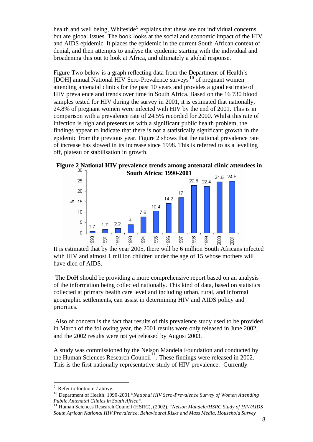health and well being, Whiteside<sup>9</sup> explains that these are not individual concerns, but are global issues. The book looks at the social and economic impact of the HIV and AIDS epidemic. It places the epidemic in the current South African context of denial, and then attempts to analyse the epidemic starting with the individual and broadening this out to look at Africa, and ultimately a global response.

Figure Two below is a graph reflecting data from the Department of Health's [DOH] annual National HIV Sero-Prevalence surveys<sup>10</sup> of pregnant women attending antenatal clinics for the past 10 years and provides a good estimate of HIV prevalence and trends over time in South Africa. Based on the 16 730 blood samples tested for HIV during the survey in 2001, it is estimated that nationally, 24.8% of pregnant women were infected with HIV by the end of 2001. This is in comparison with a prevalence rate of 24.5% recorded for 2000. Whilst this rate of infection is high and presents us with a significant public health problem, the findings appear to indicate that there is not a statistically significant growth in the epidemic from the previous year. Figure 2 shows that the national prevalence rate of increase has slowed in its increase since 1998. This is referred to as a levelling off, plateau or stabilisation in growth.





It is estimated that by the year 2005, there will be 6 million South Africans infected with HIV and almost 1 million children under the age of 15 whose mothers will have died of AIDS.

 The DoH should be providing a more comprehensive report based on an analysis of the information being collected nationally. This kind of data, based on statistics collected at primary health care level and including urban, rural, and informal geographic settlements, can assist in determining HIV and AIDS policy and priorities.

 Also of concern is the fact that results of this prevalence study used to be provided in March of the following year, the 2001 results were only released in June 2002, and the 2002 results were not yet released by August 2003.

A study was commissioned by the Nelson Mandela Foundation and conducted by the Human Sciences Research Council<sup>1</sup>. These findings were released in 2002. This is the first nationally representative study of HIV prevalence. Currently

<sup>9</sup> Refer to footnote 7 above*.*

<sup>10</sup> Department of Health: 1990-2001 "*National HIV Sero-Prevalence Survey of Women Attending Public Antenatal Clinics in South Africa".*

<sup>11</sup> Human Sciences Research Council (HSRC), (2002), "*Nelson Mandela/HSRC Study of HIV/AIDS South African National HIV Prevalence, Behavioural Risks and Mass Media, Household Survey*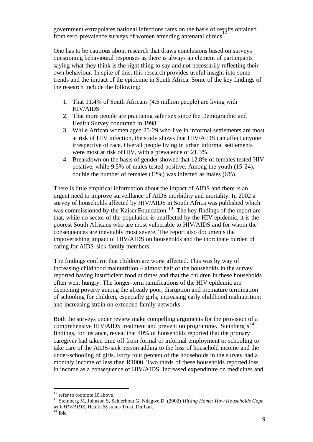government extrapolates national infections rates on the basis of results obtained 12 from sero-prevalence surveys of women attending antenatal clinics

One has to be cautious about research that draws conclusions based on surveys questioning behavioural responses as there is always an element of participants saying what they think is the right thing to say and not necessarily reflecting their own behaviour. In spite of this, this research provides useful insight into some trends and the impact of the epidemic in South Africa. Some of the key findings of the research include the following:

- 1. That 11.4% of South Africans (4.5 million people) are living with HIV/AIDS
- 2. That more people are practicing safer sex since the Demographic and Health Survey conducted in 1998.
- 3. While African women aged 25-29 who live in informal settlements are most at risk of HIV infection, the study shows that HIV/AIDS can affect anyone irrespective of race. Overall people living in urban informal settlements were most at risk of HIV, with a prevalence of 21.3%.
- 4. Breakdown on the basis of gender showed that 12.8% of females tested HIV positive, while 9.5% of males tested positive. Among the youth (15-24), double the number of females (12%) was infected as males (6%).

There is little empirical information about the impact of AIDS and there is an urgent need to improve surveillance of AIDS morbidity and mortality. In 2002 a survey of households affected by HIV/AIDS in South Africa was published which was commissioned by the Kaiser Foundation.<sup>13</sup> The key findings of the report are that, while no sector of the population is unaffected by the HIV epidemic, it is the poorest South Africans who are most vulnerable to HIV/AIDS and for whom the consequences are inevitably most severe. The report also documents the impoverishing impact of HIV/AIDS on households and the inordinate burden of caring for AIDS-sick family members.

The findings confirm that children are worst affected. This was by way of increasing childhood malnutrition – almost half of the households in the survey reported having insufficient food at times and that the children in these households often went hungry. The longer-term ramifications of the HIV epidemic are deepening poverty among the already poor; disruption and premature termination of schooling for children, especially girls; increasing early childhood malnutrition; and increasing strain on extended family networks.

Both the surveys under review make compelling arguments for the provision of a comprehensive HIV/AIDS treatment and prevention programme. Steinberg's<sup>14</sup> findings, for instance, reveal that 40% of households reported that the primary caregiver had taken time off from formal or informal employment or schooling to take care of the AIDS-sick person adding to the loss of household income and the under-schooling of girls. Forty four percent of the households in the survey had a monthly income of less than R1000. Two thirds of these households reported loss in income as a consequence of HIV/AIDS. Increased expenditure on medicines and

<sup>&</sup>lt;sup>12</sup> refer to footnote 10 above.

<sup>13</sup> Steinberg M, Johnson S, Schierhout G, Ndegwe D, (2002) *Hitting Home: How Households Cope with HIV/AIDS*, Health Systems Trust, Durban.

 $14$  Ibid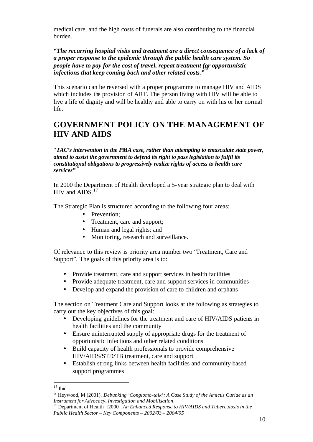medical care, and the high costs of funerals are also contributing to the financial burden.

*"The recurring hospital visits and treatment are a direct consequence of a lack of a proper response to the epidemic through the public health care system. So people have to pay for the cost of travel, repeat treatment for opportunistic infections that keep coming back and other related costs."<sup>15</sup>*

This scenario can be reversed with a proper programme to manage HIV and AIDS which includes the provision of ART. The person living with HIV will be able to live a life of dignity and will be healthy and able to carry on with his or her normal life.

## **GOVERNMENT POLICY ON THE MANAGEMENT OF HIV AND AIDS**

"*TAC's intervention in the PMA case, rather than attempting to emasculate state power, aimed to assist the government to defend its right to pass legislation to fulfil its constitutional obligations to progressively realize rights of access to health care*  services"<sup>1</sup>

In 2000 the Department of Health developed a 5-year strategic plan to deal with HIV and AIDS.<sup>17</sup>

The Strategic Plan is structured according to the following four areas:

- Prevention;
- Treatment, care and support;
- Human and legal rights; and
- Monitoring, research and surveillance.

Of relevance to this review is priority area number two "Treatment, Care and Support". The goals of this priority area is to:

- Provide treatment, care and support services in health facilities
- Provide adequate treatment, care and support services in communities
- Develop and expand the provision of care to children and orphans

The section on Treatment Care and Support looks at the following as strategies to carry out the key objectives of this goal:

- Developing guidelines for the treatment and care of HIV/AIDS patients in health facilities and the community
- Ensure uninterrupted supply of appropriate drugs for the treatment of opportunistic infections and other related conditions
- Build capacity of health professionals to provide comprehensive HIV/AIDS/STD/TB treatment, care and support
- Establish strong links between health facilities and community-based support programmes

l  $15$  Ibid

<sup>16</sup> Heywood, M (2001), *Debunking 'Conglomo-talk': A Case Study of the Amicus Curiae as an Instrument for Advocacy, Investigation and Mobilisation*.

<sup>17</sup> Department of Health [2000]. *An Enhanced Response to HIV/AIDS and Tuberculosis in the Public Health Sector – Key Components – 2002/03 – 2004/05*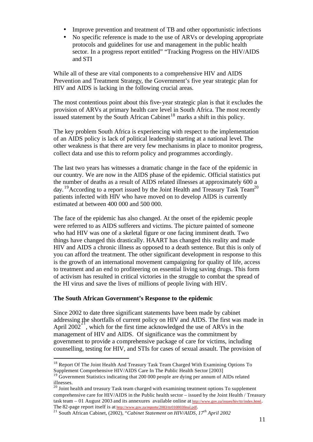- Improve prevention and treatment of TB and other opportunistic infections
- No specific reference is made to the use of ARVs or developing appropriate protocols and guidelines for use and management in the public health sector. In a progress report entitled" "Tracking Progress on the HIV/AIDS and STI

While all of these are vital components to a comprehensive HIV and AIDS Prevention and Treatment Strategy, the Government's five year strategic plan for HIV and AIDS is lacking in the following crucial areas.

The most contentious point about this five-year strategic plan is that it excludes the provision of ARVs at primary health care level in South Africa. The most recently issued statement by the South African Cabinet<sup>18</sup> marks a shift in this policy.

The key problem South Africa is experiencing with respect to the implementation of an AIDS policy is lack of political leadership starting at a national level. The other weakness is that there are very few mechanisms in place to monitor progress, collect data and use this to reform policy and programmes accordingly.

The last two years has witnesses a dramatic change in the face of the epidemic in our country. We are now in the AIDS phase of the epidemic. Official statistics put the number of deaths as a result of AIDS related illnesses at approximately 600 a day. <sup>19</sup>According to a report issued by the Joint Health and Treasury Task Team<sup>20</sup> patients infected with HIV who have moved on to develop AIDS is currently estimated at between 400 000 and 500 000.

The face of the epidemic has also changed. At the onset of the epidemic people were referred to as AIDS sufferers and victims. The picture painted of someone who had HIV was one of a skeletal figure or one facing imminent death. Two things have changed this drastically. HAART has changed this reality and made HIV and AIDS a chronic illness as opposed to a death sentence. But this is only of you can afford the treatment. The other significant development in response to this is the growth of an international movement campaigning for quality of life, access to treatment and an end to profiteering on essential living saving drugs. This form of activism has resulted in critical victories in the struggle to combat the spread of the HI virus and save the lives of millions of people living with HIV.

#### **The South African Government's Response to the epidemic**

l

Since 2002 to date three significant statements have been made by cabinet addressing the shortfalls of current policy on HIV and AIDS. The first was made in April 2002<sup>-</sup>, which for the first time acknowledged the use of ARVs in the management of HIV and AIDS. Of significance was the commitment by government to provide a comprehensive package of care for victims, including counselling, testing for HIV, and STIs for cases of sexual assault. The provision of

<sup>&</sup>lt;sup>18</sup> Report Of The Joint Health And Treasury Task Team Charged With Examining Options To Supplement Comprehensive HIV/AIDS Care In The Public Health Sector [2003]

<sup>&</sup>lt;sup>19</sup> Government Statistics indicating that 200 000 people are dying per annum of AIDs related illnesses.

<sup>&</sup>lt;sup>20</sup> Joint health and treasury Task team charged with examining treatment options To supplement comprehensive care for HIV/AIDS in the Public health sector – issued by the Joint Health / Treasury task team – 01 August 2003 and its annexures available online at http://www.gov.za/issues/hiv/ttr/index.html. The 82-page report itself is at http://www.gov.za/reports/2003/ttr010803final.pdf.

<sup>21</sup> South African Cabinet, (2002), "*Cabinet Statement on HIV/AIDS, 17th April 2002*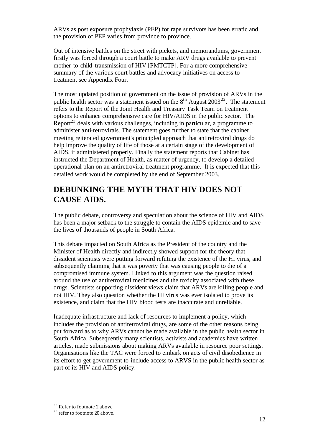ARVs as post exposure prophylaxis (PEP) for rape survivors has been erratic and the provision of PEP varies from province to province.

Out of intensive battles on the street with pickets, and memorandums, government firstly was forced through a court battle to make ARV drugs available to prevent mother-to-child-transmission of HIV [PMTCTP]. For a more comprehensive summary of the various court battles and advocacy initiatives on access to treatment see Appendix Four.

The most updated position of government on the issue of provision of ARVs in the public health sector was a statement issued on the  $8<sup>th</sup>$  August 2003<sup>22</sup>. The statement refers to the Report of the Joint Health and Treasury Task Team on treatment options to enhance comprehensive care for HIV/AIDS in the public sector. The Report<sup>23</sup> deals with various challenges, including in particular, a programme to administer anti-retrovirals. The statement goes further to state that the cabinet meeting reiterated government's principled approach that antiretroviral drugs do help improve the quality of life of those at a certain stage of the development of AIDS, if administered properly. Finally the statement reports that Cabinet has instructed the Department of Health, as matter of urgency, to develop a detailed operational plan on an antiretroviral treatment programme. It is expected that this detailed work would be completed by the end of September 2003.

## **DEBUNKING THE MYTH THAT HIV DOES NOT CAUSE AIDS.**

The public debate, controversy and speculation about the science of HIV and AIDS has been a major setback to the struggle to contain the AIDS epidemic and to save the lives of thousands of people in South Africa.

This debate impacted on South Africa as the President of the country and the Minister of Health directly and indirectly showed support for the theory that dissident scientists were putting forward refuting the existence of the HI virus, and subsequently claiming that it was poverty that was causing people to die of a compromised immune system. Linked to this argument was the question raised around the use of antiretroviral medicines and the toxicity associated with these drugs. Scientists supporting dissident views claim that ARVs are killing people and not HIV. They also question whether the HI virus was ever isolated to prove its existence, and claim that the HIV blood tests are inaccurate and unreliable.

Inadequate infrastructure and lack of resources to implement a policy, which includes the provision of antiretroviral drugs, are some of the other reasons being put forward as to why ARVs cannot be made available in the public health sector in South Africa. Subsequently many scientists, activists and academics have written articles, made submissions about making ARVs available in resource poor settings. Organisations like the TAC were forced to embark on acts of civil disobedience in its effort to get government to include access to ARVS in the public health sector as part of its HIV and AIDS policy.

<sup>22</sup> Refer to footnote 2 above

 $23$  refer to footnote 20 above.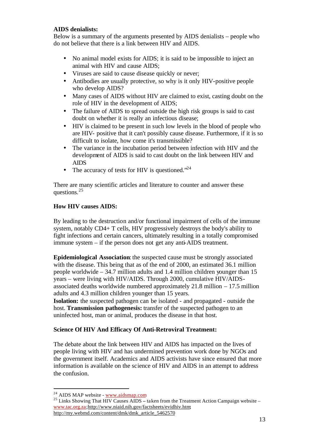#### **AIDS denialists:**

Below is a summary of the arguments presented by AIDS denialists – people who do not believe that there is a link between HIV and AIDS.

- No animal model exists for AIDS; it is said to be impossible to inject an animal with HIV and cause AIDS;
- Viruses are said to cause disease quickly or never;
- Antibodies are usually protective, so why is it only HIV-positive people who develop AIDS?
- Many cases of AIDS without HIV are claimed to exist, casting doubt on the role of HIV in the development of AIDS;
- The failure of AIDS to spread outside the high risk groups is said to cast doubt on whether it is really an infectious disease;
- HIV is claimed to be present in such low levels in the blood of people who are HIV- positive that it can't possibly cause disease. Furthermore, if it is so difficult to isolate, how come it's transmissible?
- The variance in the incubation period between infection with HIV and the development of AIDS is said to cast doubt on the link between HIV and AIDS
- The accuracy of tests for HIV is questioned."<sup>24</sup>

There are many scientific articles and literature to counter and answer these questions.<sup>25</sup>

#### **How HIV causes AIDS:**

By leading to the destruction and/or functional impairment of cells of the immune system, notably CD4+ T cells, HIV progressively destroys the body's ability to fight infections and certain cancers, ultimately resulting in a totally compromised immune system – if the person does not get any anti-AIDS treatment.

**Epidemiological Association**: the suspected cause must be strongly associated with the disease. This being that as of the end of 2000, an estimated 36.1 million people worldwide – 34.7 million adults and 1.4 million children younger than 15 years – were living with HIV/AIDS. Through 2000, cumulative HIV/AIDSassociated deaths worldwide numbered approximately 21.8 million – 17.5 million adults and 4.3 million children younger than 15 years.

**Isolation:** the suspected pathogen can be isolated - and propagated - outside the host. **Transmission pathogenesis:** transfer of the suspected pathogen to an uninfected host, man or animal, produces the disease in that host.

#### **Science Of HIV And Efficacy Of Anti-Retroviral Treatment:**

The debate about the link between HIV and AIDS has impacted on the lives of people living with HIV and has undermined prevention work done by NGOs and the government itself. Academics and AIDS activists have since ensured that more information is available on the science of HIV and AIDS in an attempt to address the confusion.

<sup>&</sup>lt;sup>24</sup> AIDS MAP website - www.aidsmap.com

<sup>&</sup>lt;sup>25</sup> Links Showing That HIV Causes AIDS – taken from the Treatment Action Campaign website – www.tac.org.za;http://www.niaid.nih.gov/factsheets/evidhiv.htm; http://my.webmd.com/content/dmk/dmk\_article\_5462570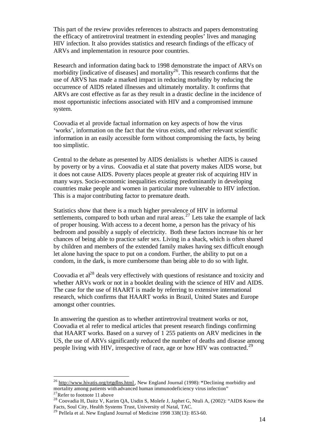This part of the review provides references to abstracts and papers demonstrating the efficacy of antiretroviral treatment in extending peoples' lives and managing HIV infection. It also provides statistics and research findings of the efficacy of ARVs and implementation in resource poor countries.

Research and information dating back to 1998 demonstrate the impact of ARVs on morbidity [indicative of diseases] and mortality<sup>26</sup>. This research confirms that the use of ARVS has made a marked impact in reducing morbidity by reducing the occurrence of AIDS related illnesses and ultimately mortality. It confirms that ARVs are cost effective as far as they result in a drastic decline in the incidence of most opportunistic infections associated with HIV and a compromised immune system.

Coovadia et al provide factual information on key aspects of how the virus 'works', information on the fact that the virus exists, and other relevant scientific information in an easily accessible form without compromising the facts, by being too simplistic.

Central to the debate as presented by AIDS denialists is whether AIDS is caused by poverty or by a virus. Coovadia et al state that poverty makes AIDS worse, but it does not cause AIDS. Poverty places people at greater risk of acquiring HIV in many ways. Socio-economic inequalities existing predominantly in developing countries make people and women in particular more vulnerable to HIV infection. This is a major contributing factor to premature death.

Statistics show that there is a much higher prevalence of HIV in informal settlements, compared to both urban and rural areas.<sup>27</sup> Lets take the example of lack of proper housing. With access to a decent home, a person has the privacy of his bedroom and possibly a supply of electricity. Both these factors increase his or her chances of being able to practice safer sex. Living in a shack, which is often shared by children and members of the extended family makes having sex difficult enough let alone having the space to put on a condom. Further, the ability to put on a condom, in the dark, is more cumbersome than being able to do so with light.

Coovadia et  $al^{28}$  deals very effectively with questions of resistance and toxicity and whether ARVs work or not in a booklet dealing with the science of HIV and AIDS. The case for the use of HAART is made by referring to extensive international research, which confirms that HAART works in Brazil, United States and Europe amongst other countries.

In answering the question as to whether antiretroviral treatment works or not, Coovadia et al refer to medical articles that present research findings confirming that HAART works. Based on a survey of 1 255 patients on ARV medicines in the US, the use of ARVs significantly reduced the number of deaths and disease among people living with HIV, irrespective of race, age or how HIV was contracted.<sup>29</sup>

<sup>26</sup> http://www.hivatis.org/trtgdlns.html , New England Journal (1998): **"**Declining morbidity and mortality among patients with advanced human immunodeficiency virus infection"

 $27$ Refer to footnote 11 above

<sup>&</sup>lt;sup>28</sup> Coovadia H, Daitz V, Karim OA, Usdin S, Molefe J, Japhet G, Ntuli A, (2002): "AIDS Know the Facts, Soul City, Health Systems Trust, University of Natal, TAC.

 $^{29}$  Pellela et al. New England Journal of Medicine 1998 338(13): 853-60.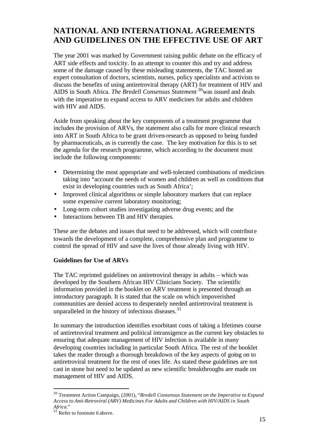## **NATIONAL AND INTERNATIONAL AGREEMENTS AND GUIDELINES ON THE EFFECTIVE USE OF ART**

The year 2001 was marked by Government raising public debate on the efficacy of ART side effects and toxicity. In an attempt to counter this and try and address some of the damage caused by these misleading statements, the TAC hosted an expert consultation of doctors, scientists, nurses, policy specialists and activists to discuss the benefits of using antiretroviral therapy (ART) for treatment of HIV and AIDS in South Africa. *The Bredell Consensus Statement* <sup>30</sup>was issued and deals with the imperative to expand access to ARV medicines for adults and children with HIV and AIDS.

Aside from speaking about the key components of a treatment programme that includes the provision of ARVs, the statement also calls for more clinical research into ART in South Africa to be grant driven-research as opposed to being funded by pharmaceuticals, as is currently the case. The key motivation for this is to set the agenda for the research programme, which according to the document must include the following components:

- Determining the most appropriate and well-tolerated combinations of medicines taking into "account the needs of women and children as well as conditions that exist in developing countries such as South Africa';
- Improved clinical algorithms or simple laboratory markers that can replace some expensive current laboratory monitoring;
- Long-term cohort studies investigating adverse drug events; and the
- Interactions between TB and HIV therapies.

These are the debates and issues that need to be addressed, which will contribut e towards the development of a complete, comprehensive plan and programme to control the spread of HIV and save the lives of those already living with HIV.

#### **Guidelines for Use of ARVs**

The TAC reprinted guidelines on antiretroviral therapy in adults – which was developed by the Southern African HIV Clinicians Society. The scientific information provided in the booklet on ARV treatment is presented through an introductory paragraph. It is stated that the scale on which impoverished communities are denied access to desperately needed antiretroviral treatment is unparalleled in the history of infectious diseases. $31$ 

In summary the introduction identifies exorbitant costs of taking a lifetimes course of antiretroviral treatment and political intransigence as the current key obstacles to ensuring that adequate management of HIV infection is available in many developing countries including in particular South Africa. The rest of the booklet takes the reader through a thorough breakdown of the key aspects of going on to antiretroviral treatment for the rest of ones life. As stated these guidelines are not cast in stone but need to be updated as new scientific breakthroughs are made on management of HIV and AIDS.

<sup>30</sup> Treatment Action Campaign, (2001), "*Bredell Consensus Statement on the Imperative to Expand Access to Anti-Retroviral (ARV) Medicines For Adults and Children with HIV/AIDS in South Africa*."

 $3^{\tilde{1}}$  Refer to footnote 6 above.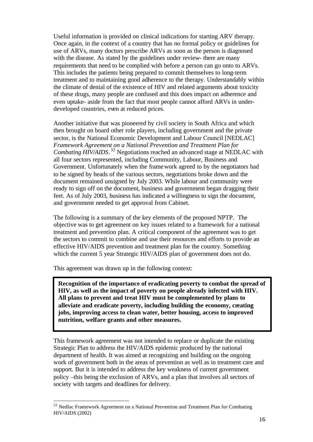Useful information is provided on clinical indications for starting ARV therapy. Once again, in the context of a country that has no formal policy or guidelines for use of ARVs, many doctors prescribe ARVs as soon as the person is diagnosed with the disease. As stated by the guidelines under review- there are many requirements that need to be complied with before a person can go onto to ARVs. This includes the patients being prepared to commit themselves to long-term treatment and to maintaining good adherence to the therapy. Understandably within the climate of denial of the existence of HIV and related arguments about toxicity of these drugs, many people are confused and this does impact on adherence and even uptake- aside from the fact that most people cannot afford ARVs in underdeveloped countries, even at reduced prices.

Another initiative that was pioneered by civil society in South Africa and which then brought on board other role players, including government and the private sector, is the National Economic Development and Labour Council [NEDLAC] *Framework Agreement on a National Prevention and Treatment Plan for Combating HIV/AIDS*. <sup>32</sup> Negotiations reached an advanced stage at NEDLAC with all four sectors represented, including Community, Labour, Business and Government. Unfortunately when the framework agreed to by the negotiators had to be signed by heads of the various sectors, negotiations broke down and the document remained unsigned by July 2003. While labour and community were ready to sign off on the document, business and government began dragging their feet. As of July 2003, business has indicated a willingness to sign the document, and government needed to get approval from Cabinet.

The following is a summary of the key elements of the proposed NPTP. The objective was to get agreement on key issues related to a framework for a national treatment and prevention plan. A critical component of the agreement was to get the sectors to commit to combine and use their resources and efforts to provide an effective HIV/AIDS prevention and treatment plan for the country. Something which the current 5 year Strategic HIV/AIDS plan of government does not do.

This agreement was drawn up in the following context:

l

**Recognition of the importance of eradicating poverty to combat the spread of HIV, as well as the impact of poverty on people already infected with HIV. All plans to prevent and treat HIV must be complemented by plans to alleviate and eradicate poverty, including building the economy, creating jobs, improving access to clean water, better housing, access to improved nutrition, welfare grants and other measures.**

This framework agreement was not intended to replace or duplicate the existing Strategic Plan to address the HIV/AIDS epidemic produced by the national department of health. It was aimed at recognizing and building on the ongoing work of government both in the areas of prevention as well as in treatment care and support. But it is intended to address the key weakness of current government policy –this being the exclusion of ARVs, and a plan that involves all sectors of society with targets and deadlines for delivery.

<sup>&</sup>lt;sup>32</sup> Nedlac Framework Agreement on a National Prevention and Treatment Plan for Combating HIV/AIDS (2002)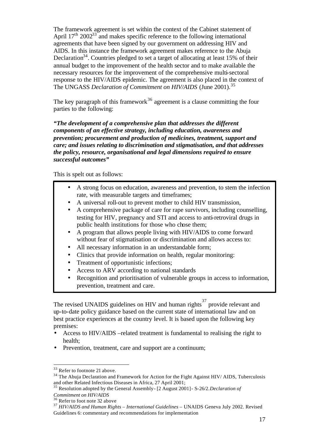The framework agreement is set within the context of the Cabinet statement of April  $17<sup>th</sup> 2002<sup>33</sup>$  and makes specific reference to the following international agreements that have been signed by our government on addressing HIV and AIDS. In this instance the framework agreement makes reference to the Abuja Declaration<sup>34</sup>. Countries pledged to set a target of allocating at least 15% of their annual budget to the improvement of the health sector and to make available the necessary resources for the improvement of the comprehensive multi-sectoral response to the HIV/AIDS epidemic. The agreement is also placed in the context of The UNGASS *Declaration of Commitment on HIV/AIDS* (June 2001).<sup>35</sup>

The key paragraph of this framework<sup>36</sup> agreement is a clause committing the four parties to the following:

*"The development of a comprehensive plan that addresses the different components of an effective strategy, including education, awareness and prevention; procurement and production of medicines, treatment, support and care; and issues relating to discrimination and stigmatisation, and that addresses the policy, resource, organisational and legal dimensions required to ensure successful outcomes"*

This is spelt out as follows:

- A strong focus on education, awareness and prevention, to stem the infection rate, with measurable targets and timeframes;
- A universal roll-out to prevent mother to child HIV transmission,
- A comprehensive package of care for rape survivors, including counselling, testing for HIV, pregnancy and STI and access to anti-retroviral drugs in public health institutions for those who chose them;
- A program that allows people living with HIV/AIDS to come forward without fear of stigmatisation or discrimination and allows access to:
- All necessary information in an understandable form;
- Clinics that provide information on health, regular monitoring:
- Treatment of opportunistic infections;
- Access to ARV according to national standards
- Recognition and prioritisation of vulnerable groups in access to information, prevention, treatment and care.

The revised UNAIDS guidelines on HIV and human rights<sup>37</sup> provide relevant and up-to-date policy guidance based on the current state of international law and on best practice experiences at the country level. It is based upon the following key premises:

- Access to HIV/AIDS –related treatment is fundamental to realising the right to health;
- Prevention, treatment, care and support are a continuum;

<sup>&</sup>lt;sup>33</sup> Refer to footnote 21 above.

<sup>&</sup>lt;sup>34</sup> The Abuja Declaration and Framework for Action for the Fight Against HIV/ AIDS, Tuberculosis and other Related Infectious Diseases in Africa, 27 April 2001;

<sup>35</sup> Resolution adopted by the General Assembly- [2 August 2001]- S-26/2.*Declaration of Commitment on HIV/AIDS*

<sup>&</sup>lt;sup>36</sup> Refer to foot note 32 above

<sup>37</sup> *HIV/AIDS and Human Rights – International Guidelines* – UNAIDS Geneva July 2002. Revised Guidelines 6: commentary and recommendations for implementation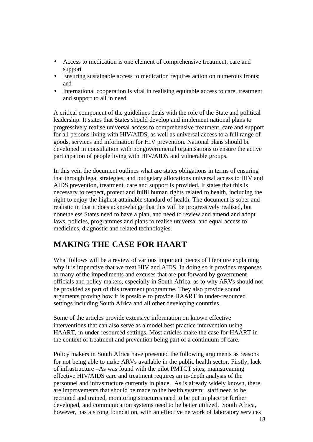- Access to medication is one element of comprehensive treatment, care and support
- Ensuring sustainable access to medication requires action on numerous fronts; and
- International cooperation is vital in realising equitable access to care, treatment and support to all in need.

A critical component of the guidelines deals with the role of the State and political leadership. It states that States should develop and implement national plans to progressively realise universal access to comprehensive treatment, care and support for all persons living with HIV/AIDS, as well as universal access to a full range of goods, services and information for HIV prevention. National plans should be developed in consultation with nongovernmental organisations to ensure the active participation of people living with HIV/AIDS and vulnerable groups.

In this vein the document outlines what are states obligations in terms of ensuring that through legal strategies, and budgetary allocations universal access to HIV and AIDS prevention, treatment, care and support is provided. It states that this is necessary to respect, protect and fulfil human rights related to health, including the right to enjoy the highest attainable standard of health. The document is sober and realistic in that it does acknowledge that this will be progressively realised, but nonetheless States need to have a plan, and need to review and amend and adopt laws, policies, programmes and plans to realise universal and equal access to medicines, diagnostic and related technologies.

## **MAKING THE CASE FOR HAART**

What follows will be a review of various important pieces of literature explaining why it is imperative that we treat HIV and AIDS. In doing so it provides responses to many of the impediments and excuses that are put forward by government officials and policy makers, especially in South Africa, as to why ARVs should not be provided as part of this treatment programme. They also provide sound arguments proving how it is possible to provide HAART in under-resourced settings including South Africa and all other developing countries.

Some of the articles provide extensive information on known effective interventions that can also serve as a model best practice intervention using HAART, in under-resourced settings. Most articles make the case for HAART in the context of treatment and prevention being part of a continuum of care.

Policy makers in South Africa have presented the following arguments as reasons for not being able to make ARVs available in the public health sector. Firstly, lack of infrastructure –As was found with the pilot PMTCT sites, mainstreaming effective HIV/AIDS care and treatment requires an in-depth analysis of the personnel and infrastructure currently in place. As is already widely known, there are improvements that should be made to the health system: staff need to be recruited and trained, monitoring structures need to be put in place or further developed, and communication systems need to be better utilized. South Africa, however, has a strong foundation, with an effective network of laboratory services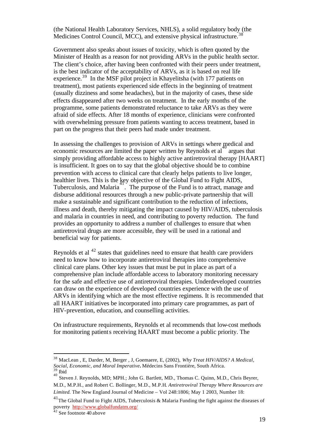(the National Health Laboratory Services, NHLS), a solid regulatory body (the Medicines Control Council, MCC), and extensive physical infrastructure.<sup>38</sup>

Government also speaks about issues of toxicity, which is often quoted by the Minister of Health as a reason for not providing ARVs in the public health sector. The client's choice, after having been confronted with their peers under treatment, is the best indicator of the acceptability of ARVs, as it is based on real life experience.<sup>39</sup> In the MSF pilot project in Khayelitsha (with 177 patients on treatment), most patients experienced side effects in the beginning of treatment (usually dizziness and some headaches), but in the majority of cases, these side effects disappeared after two weeks on treatment. In the early months of the programme, some patients demonstrated reluctance to take ARVs as they were afraid of side effects. After 18 months of experience, clinicians were confronted with overwhelming pressure from patients wanting to access treatment, based in part on the progress that their peers had made under treatment.

In assessing the challenges to provision of ARVs in settings where medical and  $\frac{1}{2}$  argues that exponents are limited the paper written by Reynolds et al. argues that simply providing affordable access to highly active antiretroviral therapy [HAART] is insufficient. It goes on to say that the global objective should be to combine prevention with access to clinical care that clearly helps patients to live longer, healthier lives. This is the key objective of the Global Fund to Fight AIDS, Tuberculosis, and Malaria<sup>-1</sup>. The purpose of the Fund is to attract, manage and disburse additional resources through a new public-private partnership that will make a sustainable and significant contribution to the reduction of infections, illness and death, thereby mitigating the impact caused by HIV/AIDS, tuberculosis and malaria in countries in need, and contributing to poverty reduction. The fund provides an opportunity to address a number of challenges to ensure that when antiretroviral drugs are more accessible, they will be used in a rational and beneficial way for patients.

Reynolds et al <sup>42</sup> states that guidelines need to ensure that health care providers need to know how to incorporate antiretroviral therapies into comprehensive clinical care plans. Other key issues that must be put in place as part of a comprehensive plan include affordable access to laboratory monitoring necessary for the safe and effective use of antiretroviral therapies. Underdeveloped countries can draw on the experience of developed countries experience with the use of ARVs in identifying which are the most effective regimens. It is recommended that all HAART initiatives be incorporated into primary care programmes, as part of HIV-prevention, education, and counselling activities.

On infrastructure requirements, Reynolds et al recommends that low-cost methods for monitoring patients receiving HAART must become a public priority. The

<sup>38</sup> MacLean , E, Darder, M, Berger , J, Goemaere, E, (2002), *Why Treat HIV/AIDS? A Medical, Social, Economic, and Moral Imperative***.** Médecins Sans Frontière, South Africa.<br><sup>39</sup> F.i.l. **Ibid** 

<sup>40</sup>

Steven J. Reynolds, MD; MPH.; John G. Bartlett, MD., Thomas C. Quinn, M.D., Chris Beyrer, M.D., M.P.H., and Robert C. Bollinger, M.D., M.P.H*. Antiretroviral Therapy Where Resources are Limited.* The New England Journal of Medicine – Vol 248:1806; May 1 2003, Number 18:

 $^{41}$ The Global Fund to Fight AIDS, Tuberculosis & Malaria Funding the fight against the diseases of poverty http://www.globalfundatm.org/

 $42$  See footnote 40 above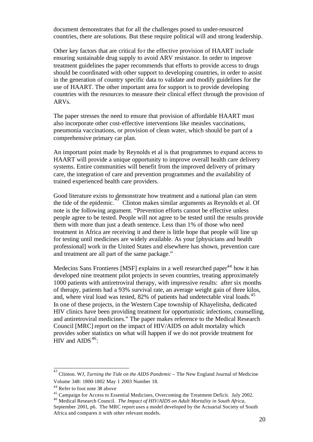document demonstrates that for all the challenges posed to under-resourced countries, there are solutions. But these require political will and strong leadership.

Other key factors that are critical for the effective provision of HAART include ensuring sustainable drug supply to avoid ARV resistance. In order to improve treatment guidelines the paper recommends that efforts to provide access to drugs should be coordinated with other support to developing countries, in order to assist in the generation of country specific data to validate and modify guidelines for the use of HAART. The other important area for support is to provide developing countries with the resources to measure their clinical effect through the provision of ARVs.

The paper stresses the need to ensure that provision of affordable HAART must also incorporate other cost-effective interventions like measles vaccinations, pneumonia vaccinations, or provision of clean water, which should be part of a comprehensive primary car plan.

An important point made by Reynolds et al is that programmes to expand access to HAART will provide a unique opportunity to improve overall health care delivery systems. Entire communities will benefit from the improved delivery of primary care, the integration of care and prevention programmes and the availability of trained experienced health care providers.

Good literature exists to demonstrate how treatment and a national plan can stem the tide of the epidemic. Clinton makes similar arguments as Reynolds et al. Of note is the following argument. "Prevention efforts cannot be effective unless people agree to be tested. People will not agree to be tested until the results provide them with more than just a death sentence. Less than 1% of those who need treatment in Africa are receiving it and there is little hope that people will line up for testing until medicines are widely available. As your [physicians and health professional] work in the United States and elsewhere has shown, prevention care and treatment are all part of the same package."

Medecins Sans Frontieres [MSF] explains in a well researched paper<sup>44</sup> how it has developed nine treatment pilot projects in seven countries, treating approximately 1000 patients with antiretroviral therapy, with impressive results: after six months of therapy, patients had a 93% survival rate, an average weight gain of three kilos, and, where viral load was tested, 82% of patients had undetectable viral loads.<sup>45</sup> In one of these projects, in the Western Cape township of Khayelitsha, dedicated HIV clinics have been providing treatment for opportunistic infections, counselling, and antiretroviral medicines." The paper makes reference to the Medical Research Council [MRC] report on the impact of HIV/AIDS on adult mortality which provides sober statistics on what will happen if we do not provide treatment for HIV and AIDS $46$ :

 43 Clinton. WJ, *Turning the Tide on the AIDS Pandemic* – The New England Journal of Medicine Volume 348: 1800-1802 May 1 2003 Number 18.

<sup>44</sup> Refer to foot note 38 above

<sup>45</sup> Campaign for Access to Essential Medicines, Overcoming the Treatment Deficit. July 2002.

<sup>46</sup> Medical Research Council. *The Impact of HIV/AIDS on Adult Mortality in South Africa,* September 2001, p6. The MRC report uses a model developed by the Actuarial Society of South Africa and compares it with other relevant models.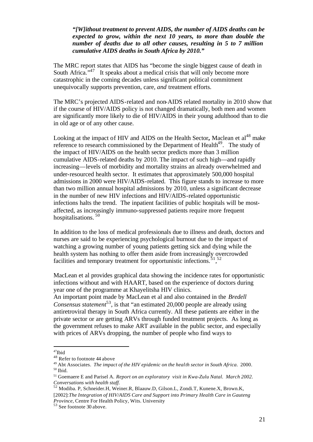#### *"[W]ithout treatment to prevent AIDS, the number of AIDS deaths can be expected to grow, within the next 10 years, to more than double the number of deaths due to all other causes, resulting in 5 to 7 million cumulative AIDS deaths in South Africa by 2010."*

The MRC report states that AIDS has "become the single biggest cause of death in South Africa."<sup>47</sup> It speaks about a medical crisis that will only become more catastrophic in the coming decades unless significant political commitment unequivocally supports prevention, care*, and* treatment efforts.

The MRC's projected AIDS-related and non-AIDS related mortality in 2010 show that if the course of HIV/AIDS policy is not changed dramatically, both men and women are significantly more likely to die of HIV/AIDS in their young adulthood than to die in old age or of any other cause.

Looking at the impact of HIV and AIDS on the Health Sector, Maclean et al<sup>48</sup> make reference to research commissioned by the Department of Health<sup>49</sup>. The study of the impact of HIV/AIDS on the health sector predicts more than 3 million cumulative AIDS-related deaths by 2010. The impact of such high—and rapidly increasing—levels of morbidity and mortality strains an already overwhelmed and under-resourced health sector. It estimates that approximately 500,000 hospital admissions in 2000 were HIV/AIDS-related. This figure stands to increase to more than two million annual hospital admissions by 2010, unless a significant decrease in the number of new HIV infections and HIV/AIDS-related opportunistic infections halts the trend. The inpatient facilities of public hospitals will be mostaffected, as increasingly immuno-suppressed patients require more frequent hospitalisations.<sup>50</sup>

In addition to the loss of medical professionals due to illness and death, doctors and nurses are said to be experiencing psychological burnout due to the impact of watching a growing number of young patients getting sick and dying while the health system has nothing to offer them aside from increasingly overcrowded facilities and temporary treatment for opportunistic infections.  $51,52$ 

MacLean et al provides graphical data showing the incidence rates for opportunistic infections without and with HAART, based on the experience of doctors during year one of the programme at Khayelitsha HIV clinics.

An important point made by MacLean et al and also contained in the *Bredell Consensus statement*<sup>53</sup>, is that "an estimated 20,000 people are already using antiretroviral therapy in South Africa currently. All these patients are either in the private sector or are getting ARVs through funded treatment projects. As long as the government refuses to make ART available in the public sector, and especially with prices of ARVs dropping, the number of people who find ways to

<sup>47</sup>Ibid

<sup>48</sup> Refer to footnote 44 above

<sup>49</sup> Abt Associates. *The impact of the HIV epidemic on the health sector in South Africa*. 2000. <sup>50</sup> Ibid.

<sup>51</sup> Goemaere E and Parisel A. *Report on an exploratory visit in Kwa-Zulu Natal. March 2002. Conversations with health staff.*

<sup>52</sup> Modiba. P, Schneider.H, Weiner.R, Blaauw.D, Gilson.L, Zondi.T, Kunene.X, Brown.K, [2002]:*The Integration of HIV/AIDS Care and Support into Primary Health Care in Gauteng Province,* Centre For Health Policy, Wits. University

<sup>53</sup> See footnote 30 above.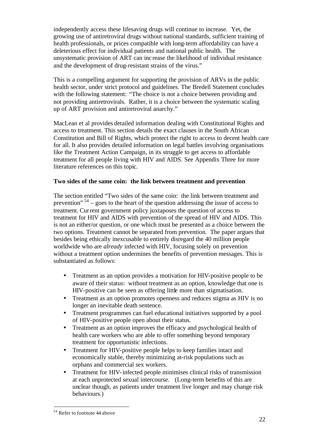independently access these lifesaving drugs will continue to increase. Yet, the growing use of antiretroviral drugs without national standards, sufficient training of health professionals, or prices compatible with long-term affordability can have a deleterious effect for individual patients and national public health. The unsystematic provision of ART can inc rease the likelihood of individual resistance and the development of drug-resistant strains of the virus."

This is a compelling argument for supporting the provision of ARVs in the public health sector, under strict protocol and guidelines. The Bredell Statement concludes with the following statement: "The choice is not a choice between providing and not providing antiretrovirals. Rather, it is a choice between the systematic scaling up of ART provision and antiretroviral anarchy."

MacLean et al provides detailed information dealing with Constitutional Rights and access to treatment. This section details the exact clauses in the South African Constitution and Bill of Rights, which protect the right to access to decent health care for all. It also provides detailed information on legal battles involving organisations like the Treatment Action Campaign, in its struggle to get access to affordable treatment for all people living with HIV and AIDS. See Appendix Three for more literature references on this topic.

#### **Two sides of the same coin: the link between treatment and prevention**

The section entitled "Two sides of the same coin: the link between treatment and prevention"  $54 -$  goes to the heart of the question addressing the issue of access to treatment. Current government policy juxtaposes the question of access to treatment for HIV and AIDS with prevention of the spread of HIV and AIDS. This is not an either/or question, or one which must be presented as a choice between the two options. Treatment cannot be separated from prevention. The paper argues that besides being ethically inexcusable to entirely disregard the 40 million people worldwide who are *already* infected with HIV, focusing solely on prevention without a treatment option undermines the benefits of prevention messages. This is substantiated as follows:

- Treatment as an option provides a motivation for HIV-positive people to be aware of their status: without treatment as an option, knowledge that one is HIV-positive can be seen as offering little more than stigmatisation.
- Treatment as an option promotes openness and reduces stigma as HIV is no longer an inevitable death sentence.
- Treatment programmes can fuel educational initiatives supported by a pool of HIV-positive people open about their status.
- Treatment as an option improves the efficacy and psychological health of health care workers who are able to offer something beyond temporary treatment for opportunistic infections.
- Treatment for HIV-positive people helps to keep families intact and economically stable, thereby minimizing at-risk populations such as orphans and commercial sex workers.
- Treatment for HIV-infected people minimises clinical risks of transmission at each unprotected sexual intercourse. (Long-term benefits of this are unclear though, as patients under treatment live longer and may change risk behaviours.)

<sup>&</sup>lt;sup>54</sup> Refer to footnote 44 above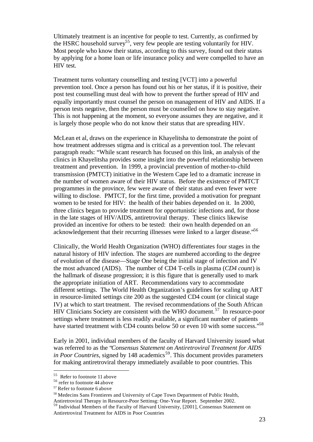Ultimately treatment is an incentive for people to test. Currently, as confirmed by the HSRC household survey<sup>55</sup>, very few people are testing voluntarily for HIV. Most people who know their status, according to this survey, found out their status by applying for a home loan or life insurance policy and were compelled to have an HIV test.

Treatment turns voluntary counselling and testing [VCT] into a powerful prevention tool. Once a person has found out his or her status, if it is positive, their post test counselling must deal with how to prevent the further spread of HIV and equally importantly must counsel the person on management of HIV and AIDS. If a person tests negative, then the person must be counselled on how to stay negative. This is not happening at the moment, so everyone assumes they are negative, and it is largely those people who do not know their status that are spreading HIV.

McLean et al, draws on the experience in Khayelitsha to demonstrate the point of how treatment addresses stigma and is critical as a prevention tool. The relevant paragraph reads: "While scant research has focused on this link, an analysis of the clinics in Khayelitsha provides some insight into the powerful relationship between treatment and prevention. In 1999, a provincial prevention of mother-to-child transmission (PMTCT) initiative in the Western Cape led to a dramatic increase in the number of women aware of their HIV status. Before the existence of PMTCT programmes in the province, few were aware of their status and even fewer were willing to disclose. PMTCT, for the first time, provided a motivation for pregnant women to be tested for HIV: the health of their babies depended on it. In 2000, three clinics began to provide treatment for opportunistic infections and, for those in the late stages of HIV/AIDS, antiretroviral therapy. These clinics likewise provided an incentive for others to be tested: their own health depended on an acknowledgement that their recurring illnesses were linked to a larger disease.<sup>56</sup>

Clinically, the World Health Organization (WHO) differentiates four stages in the natural history of HIV infection. The *stages* are numbered according to the degree of evolution of the disease—Stage One being the initial stage of infection and IV the most advanced (AIDS). The number of CD4 T-cells in plasma (*CD4 count*) is the hallmark of disease progression; it is this figure that is generally used to mark the appropriate initiation of ART. Recommendations vary to accommodate different settings. The World Health Organization's guidelines for scaling up ART in resource-limited settings cite 200 as the suggested CD4 count (or clinical stage IV) at which to start treatment. The revised recommendations of the South African HIV Clinicians Society are consistent with the WHO document.<sup>57</sup> In resource-poor settings where treatment is less readily available, a significant number of patients have started treatment with CD4 counts below 50 or even 10 with some success."<sup>58</sup>

Early in 2001, individual members of the faculty of Harvard University issued what was referred to as the "*Consensus Statement on Antiretroviral Treatment for AIDS in Poor Countries*, signed by 148 academics<sup>59</sup>. This document provides parameters for making antiretroviral therapy immediately available to poor countries. This

<sup>55</sup> Refer to footnote 11 above

<sup>56</sup> refer to footnote 44 above

<sup>57</sup> Refer to footnote 6 above

<sup>58</sup> Medecins Sans Frontieres and University of Cape Town Department of Public Health, Antiretroviral Therapy in Resource-Poor Settinsg: One-Year Report. September 2002.

<sup>59</sup> Individual Members of the Faculty of Harvard University, [2001], Consensus Statement on Antiretroviral Treatment for AIDS in Poor Countries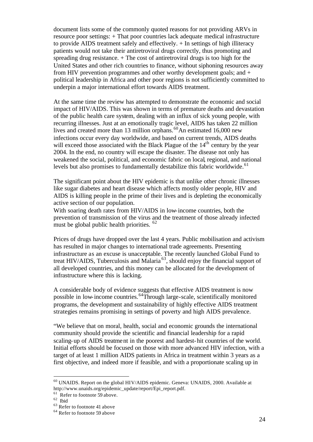document lists some of the commonly quoted reasons for not providing ARVs in resource poor settings: + That poor countries lack adequate medical infrastructure to provide AIDS treatment safely and effectively. + In settings of high illiteracy patients would not take their antiretroviral drugs correctly, thus promoting and spreading drug resistance. + The cost of antiretroviral drugs is too high for the United States and other rich countries to finance, without siphoning resources away from HIV prevention programmes and other worthy development goals; and + political leadership in Africa and other poor regions is not sufficiently committed to underpin a major international effort towards AIDS treatment.

At the same time the review has attempted to demonstrate the economic and social impact of HIV/AIDS. This was shown in terms of premature deaths and devastation of the public health care system, dealing with an influx of sick young people, with recurring illnesses. Just at an emotionally tragic level, AIDS has taken 22 million lives and created more than 13 million orphans.<sup>60</sup>An estimated 16,000 new infections occur every day worldwide, and based on current trends, AIDS deaths will exceed those associated with the Black Plague of the 14<sup>th</sup> century by the year 2004. In the end, no country will escape the disaster. The disease not only has weakened the social, political, and economic fabric on local, regional, and national levels but also promises to fundamentally destabilize this fabric worldwide.<sup>61</sup>

The significant point about the HIV epidemic is that unlike other chronic illnesses like sugar diabetes and heart disease which affects mostly older people, HIV and AIDS is killing people in the prime of their lives and is depleting the economically active section of our population.

With soaring death rates from HIV/AIDS in low-income countries, both the prevention of transmission of the virus and the treatment of those already infected must be global public health priorities. <sup>62</sup>

Prices of drugs have dropped over the last 4 years. Public mobilisation and activism has resulted in major changes to international trade agreements. Presenting infrastructure as an excuse is unacceptable. The recently launched Global Fund to treat HIV/AIDS, Tuberculosis and Malaria <sup>63</sup>, should enjoy the financial support of all developed countries, and this money can be allocated for the development of infrastructure where this is lacking.

A considerable body of evidence suggests that effective AIDS treatment is now possible in low-income countries.<sup>64</sup>Through large-scale, scientifically monitored programs, the development and sustainability of highly effective AIDS treatment strategies remains promising in settings of poverty and high AIDS prevalence.

"We believe that on moral, health, social and economic grounds the international community should provide the scientific and financial leadership for a rapid scaling-up of AIDS treatment in the poorest and hardest-hit countries of the world. Initial efforts should be focused on those with more advanced HIV infection, with a target of at least 1 million AIDS patients in Africa in treatment within 3 years as a first objective, and indeed more if feasible, and with a proportionate scaling up in

<sup>60</sup> UNAIDS. Report on the global HIV/AIDS epidemic. Geneva: UNAIDS, 2000. Available at http://www.unaids.org/epidemic\_update/report/Epi\_report.pdf.

 $61$  Refer to footnote 59 above.

 $62$  Ibid

<sup>&</sup>lt;sup>63</sup> Refer to footnote 41 above

<sup>&</sup>lt;sup>64</sup> Refer to footnote 59 above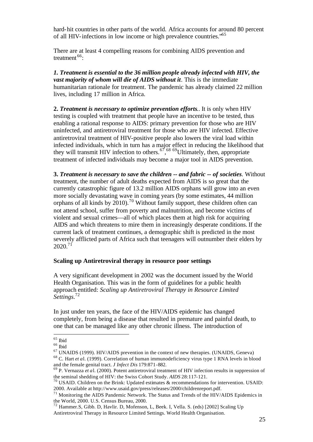hard-hit countries in other parts of the world. Africa accounts for around 80 percent of all HIV-infections in low income or high prevalence countries."<sup>65</sup>

There are at least 4 compelling reasons for combining AIDS prevention and treatment<sup>66</sup>:

*1. Treatment is essential to the 36 million people already infected with HIV, the vast majority of whom will die of AIDS without it.* This is the immediate humanitarian rationale for treatment. The pandemic has already claimed 22 million lives, including 17 million in Africa.

**2.** *Treatment is necessary to optimize prevention efforts.*. It is only when HIV testing is coupled with treatment that people have an incentive to be tested, thus enabling a rational response to AIDS: primary prevention for those who are HIV uninfected, and antiretroviral treatment for those who are HIV infected. Effective antiretroviral treatment of HIV-positive people also lowers the viral load within infected individuals, which in turn has a major effect in reducing the likelihood that they will transmit HIV infection to others.<sup>67,68</sup> <sup>69</sup>Ultimately, then, appropriate treatment of infected individuals may become a major tool in AIDS prevention.

**3.** *Treatment is necessary to save the children -- and fabric -- of societies.* Without treatment, the number of adult deaths expected from AIDS is so great that the currently catastrophic figure of 13.2 million AIDS orphans will grow into an even more socially devastating wave in coming years (by some estimates, 44 million orphans of all kinds by  $2010$ .<sup>70</sup> Without family support, these children often can not attend school, suffer from poverty and malnutrition, and become victims of violent and sexual crimes—all of which places them at high risk for acquiring AIDS and which threatens to mire them in increasingly desperate conditions. If the current lack of treatment continues, a demographic shift is predicted in the most severely afflicted parts of Africa such that teenagers will outnumber their elders by  $2020^{71}$ 

#### **Scaling up Antiretroviral therapy in resource poor settings**

A very significant development in 2002 was the document issued by the World Health Organisation. This was in the form of guidelines for a public health approach entitled: *Scaling up Antiretroviral Therapy in Resource Limited Settings.*<sup>72</sup>

In just under ten years, the face of the HIV/AIDS epidemic has changed completely, from being a disease that resulted in premature and painful death, to one that can be managed like any other chronic illness. The introduction of

l

<sup>68</sup> C. Hart *et a*l. (1999). Correlation of human immunodeficiency virus type 1 RNA levels in blood and the female genital tract. *J Infect Dis* 179:871-882.

 $^{65}$  Ibid

<sup>66</sup> Ibid

 $67$  UNAIDS (1999). HIV/AIDS prevention in the context of new therapies. (UNAIDS, Geneva)

<sup>&</sup>lt;sup>69</sup> P. Vernazza *et a*l. (2000). Potent antiretroviral treatment of HIV infection results in suppression of the seminal shedding of HIV: the Swiss Cohort Study. *AIDS* 28:117-121.

 $70$  USAID. Children on the Brink: Updated estimates & recommendations for intervention. USAID: 2000. Available at http://www.usaid.gov/press/releases/2000/childrenreport.pdf.

<sup>&</sup>lt;sup>71</sup> Monitoring the AIDS Pandemic Network. The Status and Trends of the HIV/AIDS Epidemics in the World, 2000. U.S. Census Bureau, 2000.

<sup>&</sup>lt;sup>72</sup> Hammer.S, Gibb. D, Havlir. D, Mofenson, L, Beek. I, Vella. S. (eds) [2002] Scaling Up Antiretroviral Therapy in Resource Limited Settings. World Health Organisation.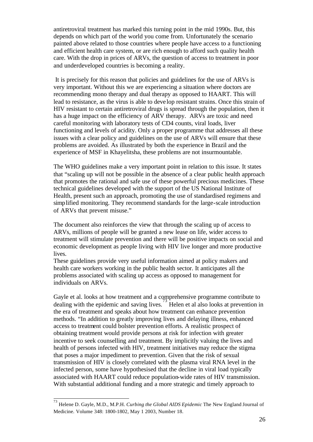antiretroviral treatment has marked this turning point in the mid 1990s. But, this depends on which part of the world you come from. Unfortunately the scenario painted above related to those countries where people have access to a functioning and efficient health care system, or are rich enough to afford such quality health care. With the drop in prices of ARVs, the question of access to treatment in poor and underdeveloped countries is becoming a reality.

 It is precisely for this reason that policies and guidelines for the use of ARVs is very important. Without this we are experiencing a situation where doctors are recommending mono therapy and dual therapy as opposed to HAART. This will lead to resistance, as the virus is able to deve lop resistant strains. Once this strain of HIV resistant to certain antiretroviral drugs is spread through the population, then it has a huge impact on the efficiency of ARV therapy. ARVs are toxic and need careful monitoring with laboratory tests of CD4 counts, viral loads, liver functioning and levels of acidity. Only a proper programme that addresses all these issues with a clear policy and guidelines on the use of ARVs will ensure that these problems are avoided. As illustrated by both the experience in Brazil and the experience of MSF in Khayelitsha, these problems are not insurmountable.

The WHO guidelines make a very important point in relation to this issue. It states that "scaling up will not be possible in the absence of a clear public health approach that promotes the rational and safe use of these powerful precious medicines. These technical guidelines developed with the support of the US National Institute of Health, present such an approach, promoting the use of standardised regimens and simplified monitoring. They recommend standards for the large-scale introduction of ARVs that prevent misuse."

The document also reinforces the view that through the scaling up of access to ARVs, millions of people will be granted a new lease on life, wider access to treatment will stimulate prevention and there will be positive impacts on social and economic development as people living with HIV live longer and more productive lives.

These guidelines provide very useful information aimed at policy makers and health care workers working in the public health sector. It anticipates all the problems associated with scaling up access as opposed to management for individuals on ARVs.

Gayle et al. looks at how treatment and a comprehensive programme contribute to dealing with the epidemic and saving lives.<sup>73</sup> Helen et al also looks at prevention in the era of treatment and speaks about how treatment can enhance prevention methods. "In addition to greatly improving lives and delaying illness, enhanced access to treatment could bolster prevention efforts. A realistic prospect of obtaining treatment would provide persons at risk for infection with greater incentive to seek counselling and treatment. By implicitly valuing the lives and health of persons infected with HIV, treatment initiatives may reduce the stigma that poses a major impediment to prevention. Given that the risk of sexual transmission of HIV is closely correlated with the plasma viral RNA level in the infected person, some have hypothesised that the decline in viral load typically associated with HAART could reduce population-wide rates of HIV transmission. With substantial additional funding and a more strategic and timely approach to

 73 Helene D. Gayle, M.D., M.P.H. *Curbing the Global AIDS Epidemic* The New England Journal of Medicine. Volume 348: 1800-1802, May 1 2003, Number 18.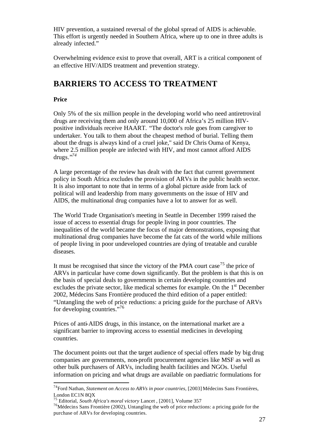HIV prevention, a sustained reversal of the global spread of AIDS is achievable. This effort is urgently needed in Southern Africa, where up to one in three adults is already infected."

Overwhelming evidence exist to prove that overall, ART is a critical component of an effective HIV/AIDS treatment and prevention strategy.

## **BARRIERS TO ACCESS TO TREATMENT**

#### **Price**

l

Only 5% of the six million people in the developing world who need antiretroviral drugs are receiving them and only around 10,000 of Africa's 25 million HIVpositive individuals receive HAART. "The doctor's role goes from caregiver to undertaker. You talk to them about the cheapest method of burial. Telling them about the drugs is always kind of a cruel joke," said Dr Chris Ouma of Kenya, where 2.5 million people are infected with HIV, and most cannot afford AIDS drugs."*<sup>74</sup>*

A large percentage of the review has dealt with the fact that current government policy in South Africa excludes the provision of ARVs in the public health sector. It is also important to note that in terms of a global picture aside from lack of political will and leadership from many governments on the issue of HIV and AIDS, the multinational drug companies have a lot to answer for as well.

The World Trade Organisation's meeting in Seattle in December 1999 raised the issue of access to essential drugs for people living in poor countries. The inequalities of the world became the focus of major demonstrations, exposing that multinational drug companies have become the fat cats of the world while millions of people living in poor undeveloped countries are dying of treatable and curable diseases.

It must be recognised that since the victory of the PMA court case<sup>75</sup> the price of ARVs in particular have come down significantly. But the problem is that this is on the basis of special deals to governments in certain developing countries and excludes the private sector, like medical schemes for example. On the 1<sup>st</sup> December 2002, Médecins Sans Frontière produced the third edition of a paper entitled: "Untangling the web of price reductions: a pricing guide for the purchase of ARVs for developing countries."<sup>76</sup>

Prices of anti-AIDS drugs, in this instance, on the international market are a significant barrier to improving access to essential medicines in developing countries.

The document points out that the target audience of special offers made by big drug companies are governments, non-profit procurement agencies like MSF as well as other bulk purchasers of ARVs, including health facilities and NGOs. Useful information on pricing and what drugs are available on paediatric formulations for

<sup>74</sup>Ford Nathan, *Statement on Access to ARVs in poor countries,* [2003] Médecins Sans Frontières, London EC1N 8QX

<sup>75</sup> Editorial, *South Africa's moral victory* Lancet , [2001], Volume 357

<sup>76</sup>Médecins Sans Frontière (2002), Untangling the web of price reductions: a pricing guide for the purchase of ARVs for developing countries.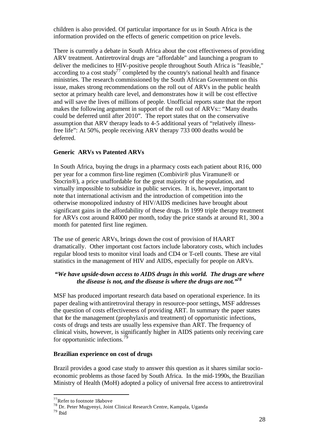children is also provided. Of particular importance for us in South Africa is the information provided on the effects of generic competition on price levels.

There is currently a debate in South Africa about the cost effectiveness of providing ARV treatment. Antiretroviral drugs are "affordable" and launching a program to deliver the medicines to HIV-positive people throughout South Africa is "feasible," according to a cost study<sup>77</sup> completed by the country's national health and finance ministries. The research commissioned by the South African Government on this issue, makes strong recommendations on the roll out of ARVs in the public health sector at primary health care level, and demonstrates how it will be cost effective and will save the lives of millions of people. Unofficial reports state that the report makes the following argument in support of the roll out of ARVs:: "Many deaths could be deferred until after 2010". The report states that on the conservative assumption that ARV therapy leads to 4-5 additional years of "relatively illnessfree life": At 50%, people receiving ARV therapy 733 000 deaths would be deferred.

#### **Generic ARVs vs Patented ARVs**

In South Africa, buying the drugs in a pharmacy costs each patient about R16, 000 per year for a common first-line regimen (Combivir® plus Viramune® or Stocrin®), a price unaffordable for the great majority of the population, and virtually impossible to subsidize in public services. It is, however, important to note that international activism and the introduction of competition into the otherwise monopolized industry of HIV/AIDS medicines have brought about significant gains in the affordability of these drugs. In 1999 triple therapy treatment for ARVs cost around R4000 per month, today the price stands at around R1, 300 a month for patented first line regimen.

The use of generic ARVs, brings down the cost of provision of HAART dramatically. Other important cost factors include laboratory costs, which includes regular blood tests to monitor viral loads and CD4 or T-cell counts. These are vital statistics in the management of HIV and AIDS, especially for people on ARVs.

#### *"We have upside-down access to AIDS drugs in this world. The drugs are where the disease is not, and the disease is where the drugs are not."<sup>78</sup>*

MSF has produced important research data based on operational experience. In its paper dealing with antiretroviral therapy in resource-poor settings, MSF addresses the question of costs effectiveness of providing ART. In summary the paper states that for the management (prophylaxis and treatment) of opportunistic infections, costs of drugs and tests are usually less expensive than ART. The frequency of clinical visits, however, is significantly higher in AIDS patients only receiving care for opportunistic infections.<sup>79</sup>

#### **Brazilian experience on cost of drugs**

Brazil provides a good case study to answer this question as it shares similar socioeconomic problems as those faced by South Africa. In the mid-1990s, the Brazilian Ministry of Health (MoH) adopted a policy of universal free access to antiretroviral

<sup>&</sup>lt;sup>77</sup>Refer to footnote 18above

<sup>&</sup>lt;sup>78</sup> Dr. Peter Mugyenyi, Joint Clinical Research Centre, Kampala, Uganda

<sup>79</sup> Ibid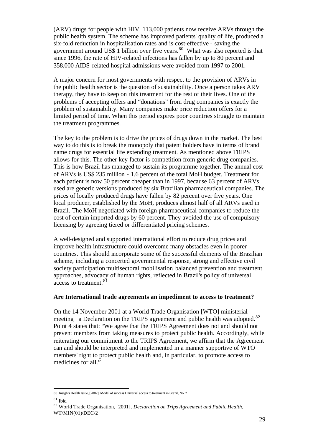(ARV) drugs for people with HIV. 113,000 patients now receive ARVs through the public health system. The scheme has improved patients' quality of life, produced a six-fold reduction in hospitalisation rates and is cost-effective - saving the government around US\$ 1 billion over five years. $80$  What was also reported is that since 1996, the rate of HIV-related infections has fallen by up to 80 percent and 358,000 AIDS-related hospital admissions were avoided from 1997 to 2001.

A major concern for most governments with respect to the provision of ARVs in the public health sector is the question of sustainability. Once a person takes ARV therapy, they have to keep on this treatment for the rest of their lives. One of the problems of accepting offers and "donations" from drug companies is exactly the problem of sustainability. Many companies make price reduction offers for a limited period of time. When this period expires poor countries struggle to maintain the treatment programmes.

The key to the problem is to drive the prices of drugs down in the market. The best way to do this is to break the monopoly that patent holders have in terms of brand name drugs for essential life extending treatment. As mentioned above TRIPS allows for this. The other key factor is competition from generic drug companies. This is how Brazil has managed to sustain its programme together. The annual cost of ARVs is US\$ 235 million - 1.6 percent of the total MoH budget. Treatment for each patient is now 50 percent cheaper than in 1997, because 63 percent of ARVs used are generic versions produced by six Brazilian pharmaceutical companies. The prices of locally produced drugs have fallen by 82 percent over five years. One local producer, established by the MoH, produces almost half of all ARVs used in Brazil. The MoH negotiated with foreign pharmaceutical companies to reduce the cost of certain imported drugs by 60 percent. They avoided the use of compulsory licensing by agreeing tiered or differentiated pricing schemes.

A well-designed and supported international effort to reduce drug prices and improve health infrastructure could overcome many obstacles even in poorer countries. This should incorporate some of the successful elements of the Brazilian scheme, including a concerted governmental response, strong and effective civil society participation multisectoral mobilisation, balanced prevention and treatment approaches, advocacy of human rights, reflected in Brazil's policy of universal access to treatment.<sup>81</sup>

#### **Are International trade agreements an impediment to access to treatment?**

On the 14 November 2001 at a World Trade Organisation [WTO] ministerial meeting a Declaration on the TRIPS agreement and public health was adopted. $82$ Point 4 states that: "We agree that the TRIPS Agreement does not and should not prevent members from taking measures to protect public health. Accordingly, while reiterating our commitment to the TRIPS Agreement, we affirm that the Agreement can and should be interpreted and implemented in a manner supportive of WTO members' right to protect public health and, in particular, to promote access to medicines for all."

 80 Insights Health Issue, [2002], Model of success Universal access to treatment in Brazil, No. 2

 $81$  Ibid

<sup>82</sup> World Trade Organisation, [2001], *Declaration on Trips Agreement and Public Health,*  WT/MIN(01)/DEC/2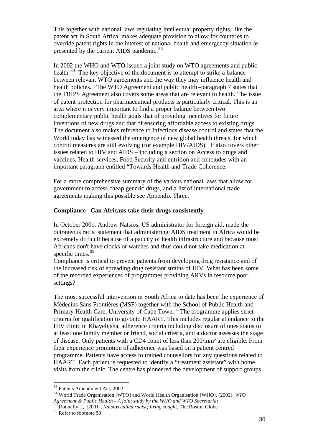This together with national laws regulating intellectual property rights, like the patent act in South Africa, makes adequate provision to allow for countries to override patent rights in the interest of national health and emergency situation as presented by the current AIDS pandemic.<sup>83</sup>

In 2002 the WHO and WTO issued a joint study on WTO agreements and public health.<sup>84</sup>. The key objective of the document is to attempt to strike a balance between relevant WTO agreements and the way they may influence health and health policies. The WTO Agreement and public health **–**paragraph 7 states that the TRIPS Agreement also covers some areas that are relevant to health. The issue of patent protection for pharmaceutical products is particularly critical. This is an area where it is very important to find a proper balance between two complementary public health goals that of providing incentives for future inventions of new drugs and that of ensuring affordable access to existing drugs. The document also makes reference to Infectious disease control and states that the World today has witnessed the emergence of new global health threats, for which control measures are still evolving (for example HIV/AIDS). It also covers other issues related to HIV and AIDS – including a section on Access to drugs and vaccines, Health services, Food Security and nutrition and concludes with an important paragraph entitled "Towards Health and Trade Coherence.

For a more comprehensive summary of the various national laws that allow for government to access cheap generic drugs, and a list of international trade agreements making this possible see Appendix Three.

#### **Compliance –Can Africans take their drugs consistently**

In October 2001, Andrew Natsios, US administrator for foreign aid, made the outrageous racist statement that administering AIDS treatment in Africa would be extremely difficult because of a paucity of health infrastructure and because most Africans don't have clocks or watches and thus could not take medication at specific times.<sup>85</sup>

Compliance is critical to prevent patients from developing drug resistance and of the increased risk of spreading drug resistant strains of HIV. What has been some of the recorded experiences of programmes providing ARVs in resource poor settings?

The most successful intervention in South Africa to date has been the experience of Médecins Sans Frontières (MSF) together with the School of Public Health and Primary Health Care, University of Cape Town.<sup>86</sup> The programme applies strict criteria for qualification to go onto HAART. This includes regular attendance to the HIV clinic in Khayelitsha, adherence criteria including disclosure of ones status to at least one family member or friend, social criteria, and a doctor assesses the stage of disease. Only patients with a CD4 count of less than 200/mm² are eligible. From their experience promotion of adherence was based on a patient centred programme. Patients have access to trained counsellors for any questions related to HAART. Each patient is requested to identify a "treatment assistant" with home visits from the clinic. The centre has pioneered the development of support groups

<sup>83</sup> Patents Amendment Act, 2002

<sup>84</sup> World Trade Organisation [WTO] and World Health Organisation [WHO], (2002), *WTO Agreement & Public Health – A joint study by the WHO and WTO Secretariat*<br><sup>85</sup> Donnally, J. 190011. *M*. *A joint study by the WHO and WTO Secretariat* 

<sup>85</sup> Donnelly. J, [2001], *Natsios called racist; firing sought,* The Boston Globe

<sup>86</sup> Refer to footnote 58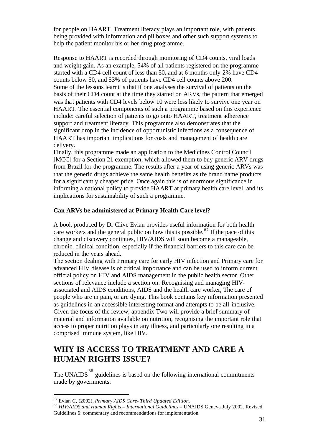for people on HAART. Treatment literacy plays an important role, with patients being provided with information and pillboxes and other such support systems to help the patient monitor his or her drug programme.

Response to HAART is recorded through monitoring of CD4 counts, viral loads and weight gain. As an example, 54% of all patients registered on the programme started with a CD4 cell count of less than 50, and at 6 months only 2% have CD4 counts below 50, and 53% of patients have CD4 cell counts above 200. Some of the lessons learnt is that if one analyses the survival of patients on the basis of their CD4 count at the time they started on ARVs, the pattern that emerged was that patients with CD4 levels below 10 were less likely to survive one year on HAART. The essential components of such a programme based on this experience include: careful selection of patients to go onto HAART, treatment adherence support and treatment literacy. This programme also demonstrates that the significant drop in the incidence of opportunistic infections as a consequence of HAART has important implications for costs and management of health care delivery.

Finally, this programme made an application to the Medicines Control Council [MCC] for a Section 21 exemption, which allowed them to buy generic ARV drugs from Brazil for the programme. The results after a year of using generic ARVs was that the generic drugs achieve the same health benefits as the brand name products for a significantly cheaper price. Once again this is of enormous significance in informing a national policy to provide HAART at primary health care level, and its implications for sustainability of such a programme.

#### **Can ARVs be administered at Primary Health Care level?**

A book produced by Dr Clive Evian provides useful information for both health care workers and the general public on how this is possible.<sup>87</sup> If the pace of this change and discovery continues, HIV/AIDS will soon become a manageable, chronic, clinical condition, especially if the financial barriers to this care can be reduced in the years ahead.

The section dealing with Primary care for early HIV infection and Primary care for advanced HIV disease is of critical importance and can be used to inform current official policy on HIV and AIDS management in the public health sector. Other sections of relevance include a section on: Recognising and managing HIVassociated and AIDS conditions, AIDS and the health care worker, The care of people who are in pain, or are dying. This book contains key information presented as guidelines in an accessible interesting format and attempts to be all-inclusive. Given the focus of the review, appendix Two will provide a brief summary of material and information available on nutrition, recognising the important role that access to proper nutrition plays in any illness, and particularly one resulting in a comprised immune system, like HIV.

## **WHY IS ACCESS TO TREATMENT AND CARE A HUMAN RIGHTS ISSUE?**

The UNAIDS<sup>88</sup> guidelines is based on the following international commitments made by governments:

<sup>87</sup> Evian C, (2002), *Primary AIDS Care- Third Updated Edition.*

<sup>88</sup> *HIV/AIDS and Human Rights – International Guidelines* – UNAIDS Geneva July 2002. Revised Guidelines 6: commentary and recommendations for implementation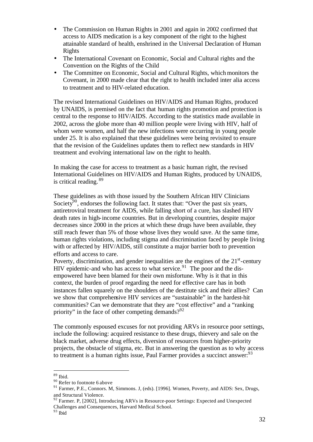- The Commission on Human Rights in 2001 and again in 2002 confirmed that access to AIDS medication is a key component of the right to the highest attainable standard of health, enshrined in the Universal Declaration of Human Rights
- The International Covenant on Economic, Social and Cultural rights and the Convention on the Rights of the Child
- The Committee on Economic, Social and Cultural Rights, which monitors the Covenant, in 2000 made clear that the right to health included inter alia access to treatment and to HIV-related education.

The revised International Guidelines on HIV/AIDS and Human Rights, produced by UNAIDS, is premised on the fact that human rights promotion and protection is central to the response to HIV/AIDS. According to the statistics made available in 2002, across the globe more than 40 million people were living with HIV, half of whom were women, and half the new infections were occurring in young people under 25. It is also explained that these guidelines were being revisited to ensure that the revision of the Guidelines updates them to reflect new standards in HIV treatment and evolving international law on the right to health.

In making the case for access to treatment as a basic human right, the revised International Guidelines on HIV/AIDS and Human Rights, produced by UNAIDS, is critical reading. <sup>89</sup>

These guidelines as with those issued by the Southern African HIV Clinicians Society<sup>90</sup>, endorses the following fact. It states that: "Over the past six years, antiretroviral treatment for AIDS, while falling short of a cure, has slashed HIV death rates in high-income countries. But in developing countries, despite major decreases since 2000 in the prices at which these drugs have been available, they still reach fewer than 5% of those whose lives they would save. At the same time, human rights violations, including stigma and discrimination faced by people living with or affected by HIV/AIDS, still constitute a major barrier both to prevention efforts and access to care.

Poverty, discrimination, and gender inequalities are the engines of the  $21<sup>st</sup>$ -century HIV epidemic-and who has access to what service.<sup>91</sup> The poor and the disempowered have been blamed for their own misfortune. Why is it that in this context, the burden of proof regarding the need for effective care has in both instances fallen squarely on the shoulders of the destitute sick and their allies? Can we show that comprehensive HIV services are "sustainable" in the hardest-hit communities? Can we demonstrate that they are "cost effective" and a "ranking priority" in the face of other competing demands?  $92^{\circ}$ 

The commonly espoused excuses for not providing ARVs in resource poor settings, include the following: acquired resistance to these drugs, thievery and sale on the black market, adverse drug effects, diversion of resources from higher-priority projects, the obstacle of stigma, etc. But in answering the question as to why access to treatment is a human rights issue, Paul Farmer provides a succinct answer:  $93$ 

<sup>89</sup> Ibid.

<sup>&</sup>lt;sup>90</sup> Refer to footnote 6 above

<sup>&</sup>lt;sup>91</sup> Farmer, P.E., Connors. M, Simmons. J, (eds). [1996]. Women, Poverty, and AIDS: Sex, Drugs, and Structural Violence.

 $92$  Farmer. P, [2002], Introducing ARVs in Resource-poor Settings: Expected and Unexpected Challenges and Consequences, Harvard Medical School.

<sup>93</sup> Ibid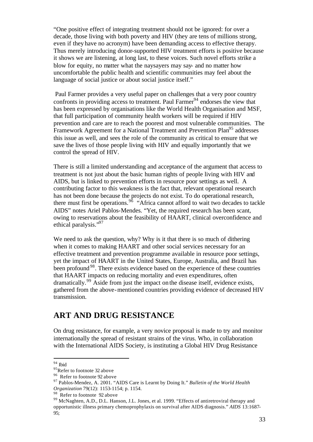"One positive effect of integrating treatment should not be ignored: for over a decade, those living with both poverty and HIV (they are tens of millions strong, even if they have no acronym) have been demanding access to effective therapy. Thus merely introducing donor-supported HIV treatment efforts is positive because it shows we are listening, at long last, to these voices. Such novel efforts strike a blow for equity, no matter what the naysayers may say- and no matter how uncomfortable the public health and scientific communities may feel about the language of social justice or about social justice itself."

Paul Farmer provides a very useful paper on challenges that a very poor country confronts in providing access to treatment. Paul  $\text{Farmer}^{94}$  endorses the view that has been expressed by organisations like the World Health Organisation and MSF, that full participation of community health workers will be required if HIV prevention and care are to reach the poorest and most vulnerable communities. The Framework Agreement for a National Treatment and Prevention Plan<sup>95</sup> addresses this issue as well, and sees the role of the community as critical to ensure that we save the lives of those people living with HIV and equally importantly that we control the spread of HIV.

There is still a limited understanding and acceptance of the argument that access to treatment is not just about the basic human rights of people living with HIV and AIDS, but is linked to prevention efforts in resource poor settings as well. A contributing factor to this weakness is the fact that, relevant operational research has not been done because the projects do not exist. To do operational research, there must first be operations.<sup>96</sup> "Africa cannot afford to wait two decades to tackle AIDS" notes Ariel Pablos-Mendes. "Yet, the required research has been scant, owing to reservations about the feasibility of HAART, clinical overconfidence and ethical paralysis."<sup>97</sup>

We need to ask the question, why? Why is it that there is so much of dithering when it comes to making HAART and other social services necessary for an effective treatment and prevention programme available in resource poor settings, yet the impact of HAART in the United States, Europe, Australia, and Brazil has been profound<sup>98</sup>. There exists evidence based on the experience of these countries that HAART impacts on reducing mortality and even expenditures, often dramatically.<sup>99</sup> Aside from just the impact on the disease itself, evidence exists, gathered from the above-mentioned countries providing evidence of decreased HIV transmission.

### **ART AND DRUG RESISTANCE**

On drug resistance, for example, a very novice proposal is made to try and monitor internationally the spread of resistant strains of the virus. Who, in collaboration with the International AIDS Society, is instituting a Global HIV Drug Resistance

<sup>94</sup> Ibid

<sup>&</sup>lt;sup>95</sup>Refer to footnote 32 above

<sup>&</sup>lt;sup>96</sup> Refer to footnote 92 above

<sup>97</sup> Pablos-Mendez, A. 2001. "AIDS Care is Learnt by Doing It." *Bulletin of the World Health Organization* 79(12): 1153-1154; p. 1154.

<sup>&</sup>lt;sup>98</sup> Refer to footnote 92 above

<sup>&</sup>lt;sup>99</sup> McNaghten, A.D., D.L. Hanson, J.L. Jones, et al. 1999. "Effects of antiretroviral therapy and opportunistic illness primary chemoprophylaxis on survival after AIDS diagnosis." *AIDS* 13:1687- 95;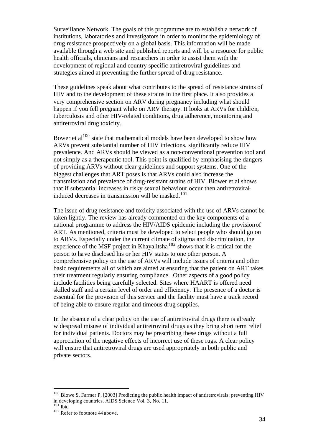Surveillance Network. The goals of this programme are to establish a network of institutions, laboratorie s and investigators in order to monitor the epidemiology of drug resistance prospectively on a global basis. This information will be made available through a web site and published reports and will be a resource for public health officials, clinicians and researchers in order to assist them with the development of regional and country-specific antiretroviral guidelines and strategies aimed at preventing the further spread of drug resistance.

These guidelines speak about what contributes to the spread of resistance strains of HIV and to the development of these strains in the first place. It also provides a very comprehensive section on ARV during pregnancy including what should happen if you fell pregnant while on ARV therapy. It looks at ARVs for children, tuberculosis and other HIV-related conditions, drug adherence, monitoring and antiretroviral drug toxicity.

Bower et  $al^{100}$  state that mathematical models have been developed to show how ARVs prevent substantial number of HIV infections, significantly reduce HIV prevalence. And ARVs should be viewed as a non-conventional prevention tool and not simply as a therapeutic tool. This point is qualified by emphasising the dangers of providing ARVs without clear guidelines and support systems. One of the biggest challenges that ART poses is that ARVs could also increase the transmission and prevalence of drug-resistant strains of HIV. Blower et al shows that if substantial increases in risky sexual behaviour occur then antiretroviralinduced decreases in transmission will be masked.<sup>101</sup>

The issue of drug resistance and toxicity associated with the use of ARVs cannot be taken lightly. The review has already commented on the key components of a national programme to address the HIV/AIDS epidemic including the provision of ART. As mentioned, criteria must be developed to select people who should go on to ARVs. Especially under the current climate of stigma and discrimination, the experience of the MSF project in Khayalitsha  $102$  shows that it is critical for the person to have disclosed his or her HIV status to one other person. A comprehensive policy on the use of ARVs will include issues of criteria and other basic requirements all of which are aimed at ensuring that the patient on ART takes their treatment regularly ensuring compliance. Other aspects of a good policy include facilities being carefully selected. Sites where HAART is offered need skilled staff and a certain level of order and efficiency. The presence of a doctor is essential for the provision of this service and the facility must have a track record of being able to ensure regular and timeous drug supplies.

In the absence of a clear policy on the use of antiretroviral drugs there is already widespread misuse of individual antiretroviral drugs as they bring short term relief for individual patients. Doctors may be prescribing these drugs without a full appreciation of the negative effects of incorrect use of these rugs. A clear policy will ensure that antiretroviral drugs are used appropriately in both public and private sectors.

<sup>&</sup>lt;sup>100</sup> Blowe S, Farmer P, [2003] Predicting the public health impact of antiretrovirals: preventing HIV in developing countries. AIDS Science Vol. 3, No. 11.

 $101$  Ibid

<sup>&</sup>lt;sup>102</sup> Refer to footnote 44 above.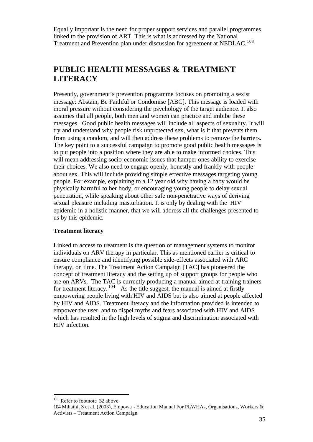Equally important is the need for proper support services and parallel programmes linked to the provision of ART. This is what is addressed by the National Treatment and Prevention plan under discussion for agreement at NEDLAC.<sup>103</sup>

## **PUBLIC HEALTH MESSAGES & TREATMENT LITERACY**

Presently, government's prevention programme focuses on promoting a sexist message: Abstain, Be Faithful or Condomise [ABC]. This message is loaded with moral pressure without considering the psychology of the target audience. It also assumes that all people, both men and women can practice and imbibe these messages. Good public health messages will include all aspects of sexuality. It will try and understand why people risk unprotected sex, what is it that prevents them from using a condom, and will then address these problems to remove the barriers. The key point to a successful campaign to promote good public health messages is to put people into a position where they are able to make informed choices. This will mean addressing socio-economic issues that hamper ones ability to exercise their choices. We also need to engage openly, honestly and frankly with people about sex. This will include providing simple effective messages targeting young people. For example, explaining to a 12 year old why having a baby would be physically harmful to her body, or encouraging young people to delay sexual penetration, while speaking about other safe non-penetrative ways of deriving sexual pleasure including masturbation. It is only by dealing with the HIV epidemic in a holistic manner, that we will address all the challenges presented to us by this epidemic.

#### **Treatment literacy**

Linked to access to treatment is the question of management systems to monitor individuals on ARV therapy in particular. This as mentioned earlier is critical to ensure compliance and identifying possible side-effects associated with ARC therapy, on time. The Treatment Action Campaign [TAC] has pioneered the concept of treatment literacy and the setting up of support groups for people who are on ARVs. The TAC is currently producing a manual aimed at training trainers for treatment literacy.  $104$  As the title suggest, the manual is aimed at firstly empowering people living with HIV and AIDS but is also aimed at people affected by HIV and AIDS. Treatment literacy and the information provided is intended to empower the user, and to dispel myths and fears associated with HIV and AIDS which has resulted in the high levels of stigma and discrimination associated with HIV infection.

<sup>103</sup> Refer to footnote 32 above

<sup>104</sup> Mthathi, S et al, (2003), Empowa - Education Manual For PLWHAs, Organisations, Workers & Activists – Treatment Action Campaign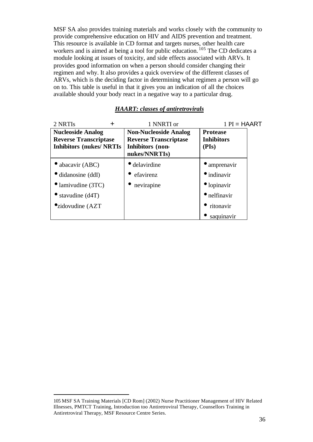MSF SA also provides training materials and works closely with the community to provide comprehensive education on HIV and AIDS prevention and treatment. This resource is available in CD format and targets nurses, other health care workers and is aimed at being a tool for public education.<sup>105</sup> The CD dedicates a module looking at issues of toxicity, and side effects associated with ARVs. It provides good information on when a person should consider changing their regimen and why. It also provides a quick overview of the different classes of ARVs, which is the deciding factor in determining what regimen a person will go on to. This table is useful in that it gives you an indication of all the choices available should your body react in a negative way to a particular drug.

| 2 NRTIS                          | 1 NNRTI or                   | $1$ PI = HAART       |
|----------------------------------|------------------------------|----------------------|
| <b>Nucleoside Analog</b>         | <b>Non-Nucleoside Analog</b> | <b>Protease</b>      |
| <b>Reverse Transcriptase</b>     | <b>Reverse Transcriptase</b> | <b>Inhibitors</b>    |
| <b>Inhibitors (nukes/ NRTIs)</b> | Inhibitors (non-             | (PIs)                |
|                                  | nukes/NNRTIs)                |                      |
| $\bullet$ abacavir (ABC)         | $\bullet$ delavirdine        | $\bullet$ amprenavir |
| $\bullet$ didanosine (ddI)       | efavirenz                    | $\bullet$ indinavir  |
| $\bullet$ lamivudine (3TC)       | nevirapine                   | $\bullet$ lopinavir  |
| $\bullet$ stavudine (d4T)        |                              | $\bullet$ nelfinavir |
| $\bullet$ zidovudine (AZT        |                              | ritonavir            |
|                                  |                              | saquinavir           |

#### *HAART: classes of antiretrovirals*

<sup>105</sup> MSF SA Training Materials [CD Rom] (2002) Nurse Practitioner Management of HIV Related Illnesses, PMTCT Training, Introduction too Antiretroviral Therapy, Counsellors Training in Antiretroviral Therapy, MSF Resource Centre Series.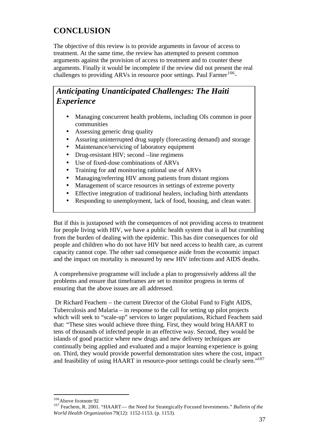## **CONCLUSION**

The objective of this review is to provide arguments in favour of access to treatment. At the same time, the review has attempted to present common arguments against the provision of access to treatment and to counter these arguments. Finally it would be incomplete if the review did not present the real challenges to providing ARVs in resource poor settings. Paul Farmer<sup>106</sup>-

## *Anticipating Unanticipated Challenges: The Haiti Experience*

- Managing concurrent health problems, including OIs common in poor communities
- Assessing generic drug quality
- Assuring uninterrupted drug supply (forecasting demand) and storage
- Maintenance/servicing of laboratory equipment
- Drug-resistant HIV; second –line regimens
- Use of fixed-dose combinations of ARVs
- Training for and monitoring rational use of ARVs
- Managing/referring HIV among patients from distant regions
- Management of scarce resources in settings of extreme poverty
- Effective integration of traditional healers, including birth attendants
- Responding to unemployment, lack of food, housing, and clean water.

But if this is juxtaposed with the consequences of not providing access to treatment for people living with HIV, we have a public health system that is all but crumbling from the burden of dealing with the epidemic. This has dire consequences for old people and children who do not have HIV but need access to health care, as current capacity cannot cope. The other sad consequence aside from the economic impact and the impact on mortality is measured by new HIV infections and AIDS deaths.

A comprehensive programme will include a plan to progressively address all the problems and ensure that timeframes are set to monitor progress in terms of ensuring that the above issues are all addressed.

 Dr Richard Feachem – the current Director of the Global Fund to Fight AIDS, Tuberculosis and Malaria – in response to the call for setting up pilot projects which will seek to "scale-up" services to larger populations, Richard Feachem said that: "These sites would achieve three thing. First, they would bring HAART to tens of thousands of infected people in an effective way. Second, they would be islands of good practice where new drugs and new delivery techniques are continually being applied and evaluated and a major learning experience is going on. Third, they would provide powerful demonstration sites where the cost, impact and feasibility of using HAART in resource-poor settings could be clearly seen."<sup>107</sup>

<sup>106</sup>Above footnote 92

<sup>107</sup> Feachem, R. 2001. "HAART— the Need for Strategically Focused Investments." *Bulletin of the World Health Organization* 79(12): 1152-1153. (p. 1153).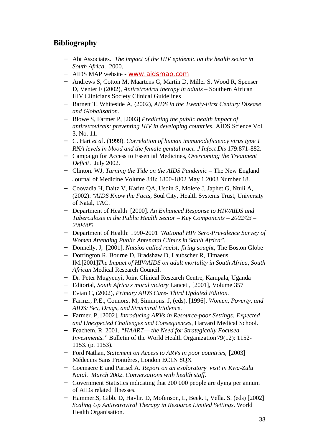## **Bibliography**

- − Abt Associates. *The impact of the HIV epidemic on the health sector in South Africa*. 2000.
- − AIDS MAP website www.aidsmap.com
- − Andrews S, Cotton M, Maartens G, Martin D, Miller S, Wood R, Spenser D, Venter F (2002), *Antiretroviral therapy in adults –* Southern African HIV Clinicians Society Clinical Guidelines
- − Barnett T, Whiteside A, (2002), *AIDS in the Twenty-First Century Disease and Globalisation.*
- − Blowe S, Farmer P, [2003] *Predicting the public health impact of antiretrovirals: preventing HIV in developing countries.* AIDS Science Vol. 3, No. 11.
- − C. Hart *et a*l. (1999). *Correlation of human immunodeficiency virus type 1 RNA levels in blood and the female genital tract*. *J Infect Dis* 179:871-882.
- − Campaign for Access to Essential Medicines, *Overcoming the Treatment Deficit*. July 2002.
- − Clinton. WJ, *Turning the Tide on the AIDS Pandemic* The New England Journal of Medicine Volume 348: 1800-1802 May 1 2003 Number 18.
- − Coovadia H, Daitz V, Karim QA, Usdin S, Molefe J, Japhet G, Ntuli A, (2002): "*AIDS Know the Facts,* Soul City, Health Systems Trust, University of Natal, TAC.
- − Department of Health [2000]. *An Enhanced Response to HIV/AIDS and Tuberculosis in the Public Health Sector – Key Components – 2002/03 – 2004/05*
- − Department of Health: 1990-2001 "*National HIV Sero-Prevalence Survey of Women Attending Public Antenatal Clinics in South Africa".*
- − Donnelly. J, [2001], *Natsios called racist; firing sought,* The Boston Globe
- − Dorrington R, Bourne D, Bradshaw D, Laubscher R, Timaeus IM.[2001]*The Impact of HIV/AIDS on adult mortality in South Africa, South African* Medical Research Council.
- − Dr. Peter Mugyenyi, Joint Clinical Research Centre, Kampala, Uganda
- − Editorial, *South Africa's moral victory* Lancet , [2001], Volume 357
- − Evian C, (2002), *Primary AIDS Care- Third Updated Edition.*
- − Farmer, P.E., Connors. M, Simmons. J, (eds). [1996]. *Women, Poverty, and AIDS: Sex, Drugs, and Structural Violence*.
- − Farmer. P, [2002], *Introducing ARVs in Resource-poor Settings: Expected and Unexpected Challenges and Consequences*, Harvard Medical School.
- − Feachem, R. 2001. *"HAART— the Need for Strategically Focused Investments.*" Bulletin of the World Health Organization 79(12): 1152-1153. (p. 1153).
- − Ford Nathan, *Statement on Access to ARVs in poor countries,* [2003] Médecins Sans Frontières, London EC1N 8QX
- − Goemaere E and Parisel A. *Report on an exploratory visit in Kwa-Zulu Natal. March 2002. Conversations with health staff.*
- − Government Statistics indicating that 200 000 people are dying per annum of AIDs related illnesses.
- − Hammer.S, Gibb. D, Havlir. D, Mofenson, L, Beek. I, Vella. S. (eds) [2002] *Scaling Up Antiretroviral Therapy in Resource Limited Settings*. World Health Organisation.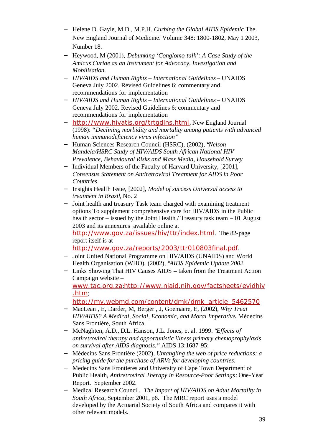- − Helene D. Gayle, M.D., M.P.H. *Curbing the Global AIDS Epidemic* The New England Journal of Medicine. Volume 348: 1800-1802, May 1 2003, Number 18.
- − Heywood, M (2001), *Debunking 'Conglomo-talk': A Case Study of the Amicus Curiae as an Instrument for Advocacy, Investigation and Mobilisation*.
- − *HIV/AIDS and Human Rights International Guidelines* UNAIDS Geneva July 2002. Revised Guidelines 6: commentary and recommendations for implementation
- − *HIV/AIDS and Human Rights International Guidelines* UNAIDS Geneva July 2002. Revised Guidelines 6: commentary and recommendations for implementation
- − http://www.hivatis.org/trtgdlns.html, New England Journal (1998): *"Declining morbidity and mortality among patients with advanced human immunodeficiency virus infection"*
- − Human Sciences Research Council (HSRC), (2002), "*Nelson Mandela/HSRC Study of HIV/AIDS South African National HIV Prevalence, Behavioural Risks and Mass Media, Household Survey*
- − Individual Members of the Faculty of Harvard University, [2001], *Consensus Statement on Antiretroviral Treatment for AIDS in Poor Countries*
- − Insights Health Issue, [2002], *Model of success Universal access to treatment in Brazil*, No. 2
- − Joint health and treasury Task team charged with examining treatment options To supplement comprehensive care for HIV/AIDS in the Public health sector – issued by the Joint Health / Treasury task team – 01 August 2003 and its annexures available online at http://www.gov.za/issues/hiv/ttr/index.html. The 82-page report itself is at http://www.gov.za/reports/2003/ttr010803final.pdf.
- − Joint United National Programme on HIV/AIDS (UNAIDS) and World Health Organisation (WHO), (2002), "*AIDS Epidemic Update 2002.*
- − Links Showing That HIV Causes AIDS **–** taken from the Treatment Action Campaign website – www.tac.org.za;http://www.niaid.nih.gov/factsheets/evidhiv .htm;

http://my.webmd.com/content/dmk/dmk\_article\_5462570

- − MacLean , E, Darder, M, Berger , J, Goemaere, E, (2002), *Why Treat HIV/AIDS? A Medical, Social, Economic, and Moral Imperative***.** Médecins Sans Frontière, South Africa.
- − McNaghten, A.D., D.L. Hanson, J.L. Jones, et al. 1999. "*Effects of antiretroviral therapy and opportunistic illness primary chemoprophylaxis on survival after AIDS diagnosis."* AIDS 13:1687-95;
- − Médecins Sans Frontière (2002), *Untangling the web of price reductions: a pricing guide for the purchase of ARVs for developing countries*.
- − Medecins Sans Frontieres and University of Cape Town Department of Public Health, *Antiretroviral Therapy in Resource-Poor Settings*: One-Year Report. September 2002.
- − Medical Research Council. *The Impact of HIV/AIDS on Adult Mortality in South Africa,* September 2001, p6. The MRC report uses a model developed by the Actuarial Society of South Africa and compares it with other relevant models.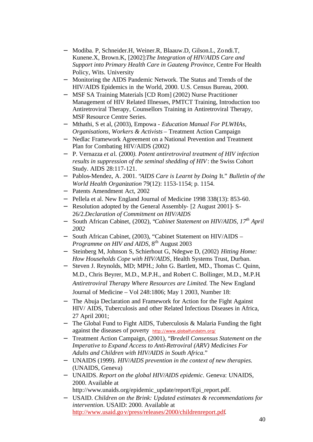- − Modiba. P, Schneider.H, Weiner.R, Blaauw.D, Gilson.L, Zondi.T, Kunene.X, Brown.K, [2002]:*The Integration of HIV/AIDS Care and Support into Primary Health Care in Gauteng Province,* Centre For Health Policy, Wits. University
- − Monitoring the AIDS Pandemic Network. The Status and Trends of the HIV/AIDS Epidemics in the World, 2000. U.S. Census Bureau, 2000.
- − MSF SA Training Materials [CD Rom] (2002) Nurse Practitioner Management of HIV Related Illnesses, PMTCT Training, Introduction too Antiretroviral Therapy, Counsellors Training in Antiretroviral Therapy, MSF Resource Centre Series.
- − Mthathi, S et al, (2003), Empowa *Education Manual For PLWHAs, Organisations, Workers & Activists* – Treatment Action Campaign
- − Nedlac Framework Agreement on a National Prevention and Treatment Plan for Combating HIV/AIDS (2002)
- − P. Vernazza *et a*l. (2000*). Potent antiretroviral treatment of HIV infection results in suppression of the seminal shedding of HIV*: the Swiss Cohort Study. AIDS 28:117-121.
- − Pablos-Mendez, A. 2001. "*AIDS Care is Learnt by Doing* It." *Bulletin of the World Health Organization* 79(12): 1153-1154; p. 1154.
- − Patents Amendment Act, 2002
- − Pellela et al. New England Journal of Medicine 1998 338(13): 853-60.
- − Resolution adopted by the General Assembly- [2 August 2001]- S-26/2.*Declaration of Commitment on HIV/AIDS*
- − South African Cabinet, (2002), "*Cabinet Statement on HIV/AIDS, 17th April 2002*
- − South African Cabinet, (2003), "Cabinet Statement on HIV/AIDS *Programme on HIV and AIDS*,  $8<sup>th</sup>$  August 2003
- − Steinberg M, Johnson S, Schierhout G, Ndegwe D, (2002) *Hitting Home: How Households Cope with HIV/AIDS*, Health Systems Trust, Durban.
- − Steven J. Reynolds, MD; MPH.; John G. Bartlett, MD., Thomas C. Quinn, M.D., Chris Beyrer, M.D., M.P.H., and Robert C. Bollinger, M.D., M.P.H*. Antiretroviral Therapy Where Resources are Limited.* The New England Journal of Medicine – Vol 248:1806; May 1 2003, Number 18:
- − The Abuja Declaration and Framework for Action for the Fight Against HIV/ AIDS, Tuberculosis and other Related Infectious Diseases in Africa, 27 April 2001;
- − The Global Fund to Fight AIDS, Tuberculosis & Malaria Funding the fight against the diseases of poverty http://www.globalfundatm.org/
- − Treatment Action Campaign, (2001), "*Bredell Consensus Statement on the Imperative to Expand Access to Anti-Retroviral (ARV) Medicines For Adults and Children with HIV/AIDS in South Africa*."
- − UNAIDS (1999). *HIV/AIDS prevention in the context of new therapies.*  (UNAIDS, Geneva)
- − UNAIDS. *Report on the global HIV/AIDS epidemic*. Geneva: UNAIDS, 2000. Available at http://www.unaids.org/epidemic\_update/report/Epi\_report.pdf.
- − USAID. *Children on the Brink: Updated estimates & recommendations for intervention*. USAID: 2000. Available at
	- http://www.usaid.gov/press/releases/2000/childrenreport.pdf.